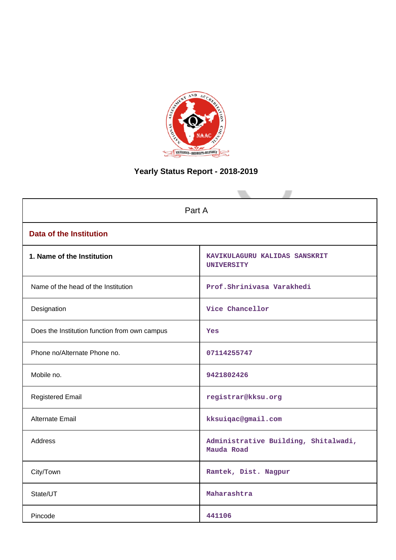

# **Yearly Status Report - 2018-2019**

| Part A                                        |                                                    |  |  |  |
|-----------------------------------------------|----------------------------------------------------|--|--|--|
| <b>Data of the Institution</b>                |                                                    |  |  |  |
| 1. Name of the Institution                    | KAVIKULAGURU KALIDAS SANSKRIT<br><b>UNIVERSITY</b> |  |  |  |
| Name of the head of the Institution           | Prof.Shrinivasa Varakhedi                          |  |  |  |
| Designation                                   | Vice Chancellor                                    |  |  |  |
| Does the Institution function from own campus | Yes                                                |  |  |  |
| Phone no/Alternate Phone no.                  | 07114255747                                        |  |  |  |
| Mobile no.                                    | 9421802426                                         |  |  |  |
| <b>Registered Email</b>                       | registrar@kksu.org                                 |  |  |  |
| Alternate Email                               | kksuiqac@gmail.com                                 |  |  |  |
| <b>Address</b>                                | Administrative Building, Shitalwadi,<br>Mauda Road |  |  |  |
| City/Town                                     | Ramtek, Dist. Nagpur                               |  |  |  |
| State/UT                                      | Maharashtra                                        |  |  |  |
| Pincode                                       | 441106                                             |  |  |  |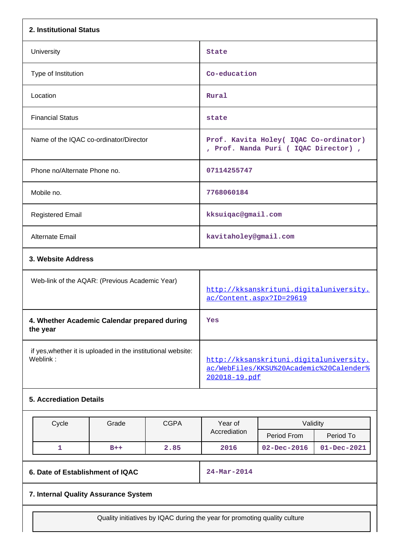| 2. Institutional Status                                                  |       |             |                                                                                                     |                                                                               |                   |  |
|--------------------------------------------------------------------------|-------|-------------|-----------------------------------------------------------------------------------------------------|-------------------------------------------------------------------------------|-------------------|--|
| University                                                               |       |             | State                                                                                               |                                                                               |                   |  |
| Type of Institution                                                      |       |             | Co-education                                                                                        |                                                                               |                   |  |
| Location                                                                 |       |             | Rural                                                                                               |                                                                               |                   |  |
| <b>Financial Status</b>                                                  |       |             | state                                                                                               |                                                                               |                   |  |
| Name of the IQAC co-ordinator/Director                                   |       |             |                                                                                                     | Prof. Kavita Holey( IQAC Co-ordinator)<br>, Prof. Nanda Puri (IQAC Director), |                   |  |
| Phone no/Alternate Phone no.                                             |       |             | 07114255747                                                                                         |                                                                               |                   |  |
| Mobile no.                                                               |       |             | 7768060184                                                                                          |                                                                               |                   |  |
| <b>Registered Email</b>                                                  |       |             | kksuiqac@gmail.com                                                                                  |                                                                               |                   |  |
| Alternate Email                                                          |       |             | kavitaholey@gmail.com                                                                               |                                                                               |                   |  |
| 3. Website Address                                                       |       |             |                                                                                                     |                                                                               |                   |  |
| Web-link of the AQAR: (Previous Academic Year)                           |       |             | http://kksanskrituni.digitaluniversity.<br>ac/Content.aspx?ID=29619                                 |                                                                               |                   |  |
| 4. Whether Academic Calendar prepared during<br>the year                 |       |             | Yes                                                                                                 |                                                                               |                   |  |
| if yes, whether it is uploaded in the institutional website:<br>Weblink: |       |             | http://kksanskrituni.digitaluniversity.<br>ac/WebFiles/KKSU%20Academic%20Calender%<br>202018-19.pdf |                                                                               |                   |  |
| <b>5. Accrediation Details</b>                                           |       |             |                                                                                                     |                                                                               |                   |  |
| Cycle                                                                    | Grade | <b>CGPA</b> | Year of                                                                                             | Validity                                                                      |                   |  |
|                                                                          |       |             | Accrediation                                                                                        | Period From                                                                   | Period To         |  |
| $\mathbf{1}$                                                             | $B++$ | 2.85        | 2016                                                                                                | $02 - Dec - 2016$                                                             | $01 - Dec - 2021$ |  |
| 6. Date of Establishment of IQAC                                         |       |             | $24 - Mar - 2014$                                                                                   |                                                                               |                   |  |
| 7. Internal Quality Assurance System                                     |       |             |                                                                                                     |                                                                               |                   |  |

Quality initiatives by IQAC during the year for promoting quality culture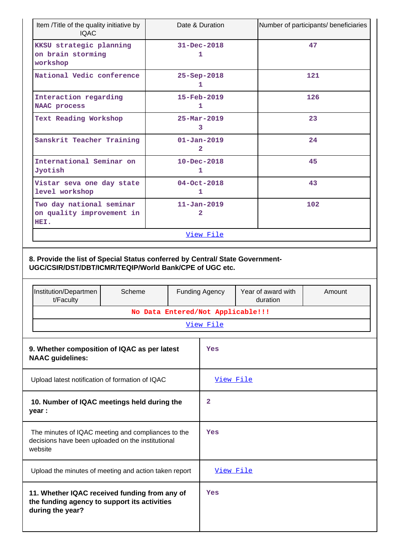| Item /Title of the quality initiative by<br>Date & Duration<br><b>IQAC</b>                                                              |        |                                   |                                   | Number of participants/ beneficiaries |                    |        |
|-----------------------------------------------------------------------------------------------------------------------------------------|--------|-----------------------------------|-----------------------------------|---------------------------------------|--------------------|--------|
| KKSU strategic planning<br>on brain storming<br>workshop                                                                                |        | $31 - Dec - 2018$<br>1            |                                   |                                       |                    | 47     |
| National Vedic conference                                                                                                               |        |                                   | 25-Sep-2018<br>1                  |                                       |                    | 121    |
| Interaction regarding<br>NAAC process                                                                                                   |        |                                   | 15-Feb-2019<br>1                  |                                       |                    | 126    |
| Text Reading Workshop                                                                                                                   |        |                                   | $25 - \text{Mar} - 2019$<br>3     |                                       |                    | 23     |
| Sanskrit Teacher Training                                                                                                               |        |                                   | $01 - Jan - 2019$<br>$\mathbf{2}$ |                                       |                    | 24     |
| International Seminar on<br>Jyotish                                                                                                     |        |                                   | $10 - Dec - 2018$<br>1            |                                       |                    | 45     |
| Vistar seva one day state<br>level workshop                                                                                             |        |                                   | $04 - Oct - 2018$<br>1            |                                       |                    | 43     |
| Two day national seminar<br>on quality improvement in<br>HEI.                                                                           |        |                                   | $11 - Jan - 2019$<br>2            |                                       |                    | 102    |
|                                                                                                                                         |        |                                   | View File                         |                                       |                    |        |
| 8. Provide the list of Special Status conferred by Central/ State Government-<br>UGC/CSIR/DST/DBT/ICMR/TEQIP/World Bank/CPE of UGC etc. |        |                                   |                                   |                                       |                    |        |
|                                                                                                                                         |        |                                   |                                   |                                       |                    |        |
| Institution/Departmen<br>t/Faculty                                                                                                      | Scheme |                                   | Funding Agency                    | duration                              | Year of award with | Amount |
|                                                                                                                                         |        | No Data Entered/Not Applicable!!! | View File                         |                                       |                    |        |
| 9. Whether composition of IQAC as per latest<br><b>NAAC</b> guidelines:                                                                 |        |                                   | Yes                               |                                       |                    |        |
| Upload latest notification of formation of IQAC                                                                                         |        |                                   | View File                         |                                       |                    |        |
| 10. Number of IQAC meetings held during the<br>year :                                                                                   |        |                                   | 2                                 |                                       |                    |        |
| The minutes of IQAC meeting and compliances to the<br>decisions have been uploaded on the institutional<br>website                      |        |                                   | Yes                               |                                       |                    |        |
| Upload the minutes of meeting and action taken report                                                                                   |        |                                   | View File                         |                                       |                    |        |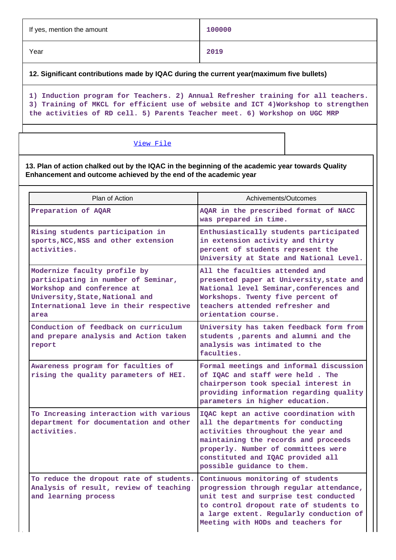| If yes, mention the amount | 100000 |
|----------------------------|--------|
| Year                       | 2019   |

**12. Significant contributions made by IQAC during the current year(maximum five bullets)**

**1) Induction program for Teachers. 2) Annual Refresher training for all teachers. 3) Training of MKCL for efficient use of website and ICT 4)Workshop to strengthen the activities of RD cell. 5) Parents Teacher meet. 6) Workshop on UGC MRP**

# [View File](https://assessmentonline.naac.gov.in/public/Postacc/Contribution/1542_Contribution.xlsx)

**13. Plan of action chalked out by the IQAC in the beginning of the academic year towards Quality Enhancement and outcome achieved by the end of the academic year**

| Plan of Action                                                                                                                                                                         | Achivements/Outcomes                                                                                                                                                                                                                                                |  |  |  |
|----------------------------------------------------------------------------------------------------------------------------------------------------------------------------------------|---------------------------------------------------------------------------------------------------------------------------------------------------------------------------------------------------------------------------------------------------------------------|--|--|--|
| Preparation of AQAR                                                                                                                                                                    | AQAR in the prescribed format of NACC<br>was prepared in time.                                                                                                                                                                                                      |  |  |  |
| Rising students participation in<br>sports, NCC, NSS and other extension<br>activities.                                                                                                | Enthusiastically students participated<br>in extension activity and thirty<br>percent of students represent the<br>University at State and National Level.                                                                                                          |  |  |  |
| Modernize faculty profile by<br>participating in number of Seminar,<br>Workshop and conference at<br>University, State, National and<br>International leve in their respective<br>area | All the faculties attended and<br>presented paper at University, state and<br>National level Seminar, conferences and<br>Workshops. Twenty five percent of<br>teachers attended refresher and<br>orientation course.                                                |  |  |  |
| Conduction of feedback on curriculum<br>and prepare analysis and Action taken<br>report                                                                                                | University has taken feedback form from<br>students , parents and alumni and the<br>analysis was intimated to the<br>faculties.                                                                                                                                     |  |  |  |
| Awareness program for faculties of<br>rising the quality parameters of HEI.                                                                                                            | Formal meetings and informal discussion<br>of IQAC and staff were held. The<br>chairperson took special interest in<br>providing information regarding quality<br>parameters in higher education.                                                                   |  |  |  |
| To Increasing interaction with various<br>department for documentation and other<br>activities.                                                                                        | IQAC kept an active coordination with<br>all the departments for conducting<br>activities throughout the year and<br>maintaining the records and proceeds<br>properly. Number of committees were<br>constituted and IQAC provided all<br>possible guidance to them. |  |  |  |
| To reduce the dropout rate of students.<br>Analysis of result, review of teaching<br>and learning process                                                                              | Continuous monitoring of students<br>progression through regular attendance,<br>unit test and surprise test conducted<br>to control dropout rate of students to<br>a large extent. Regularly conduction of<br>Meeting with HODs and teachers for                    |  |  |  |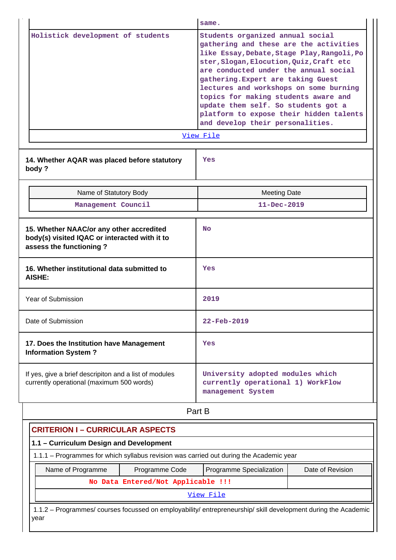|                                   |                                                                                                                      | same.                                                                                                                                                                                                                                                                                                                                                                                                                                                        |  |  |  |  |
|-----------------------------------|----------------------------------------------------------------------------------------------------------------------|--------------------------------------------------------------------------------------------------------------------------------------------------------------------------------------------------------------------------------------------------------------------------------------------------------------------------------------------------------------------------------------------------------------------------------------------------------------|--|--|--|--|
| Holistick development of students |                                                                                                                      | Students organized annual social<br>gathering and these are the activities<br>like Essay, Debate, Stage Play, Rangoli, Po<br>ster, Slogan, Elocution, Quiz, Craft etc<br>are conducted under the annual social<br>gathering. Expert are taking Guest<br>lectures and workshops on some burning<br>topics for making students aware and<br>update them self. So students got a<br>platform to expose their hidden talents<br>and develop their personalities. |  |  |  |  |
|                                   |                                                                                                                      | View File                                                                                                                                                                                                                                                                                                                                                                                                                                                    |  |  |  |  |
|                                   | 14. Whether AQAR was placed before statutory<br>body?                                                                | Yes                                                                                                                                                                                                                                                                                                                                                                                                                                                          |  |  |  |  |
|                                   | Name of Statutory Body                                                                                               | <b>Meeting Date</b>                                                                                                                                                                                                                                                                                                                                                                                                                                          |  |  |  |  |
|                                   | Management Council                                                                                                   | $11 - Dec - 2019$                                                                                                                                                                                                                                                                                                                                                                                                                                            |  |  |  |  |
|                                   | 15. Whether NAAC/or any other accredited<br>body(s) visited IQAC or interacted with it to<br>assess the functioning? | <b>No</b>                                                                                                                                                                                                                                                                                                                                                                                                                                                    |  |  |  |  |
|                                   | 16. Whether institutional data submitted to<br>AISHE:                                                                | Yes                                                                                                                                                                                                                                                                                                                                                                                                                                                          |  |  |  |  |
|                                   | Year of Submission                                                                                                   | 2019                                                                                                                                                                                                                                                                                                                                                                                                                                                         |  |  |  |  |
|                                   | Date of Submission                                                                                                   | 22-Feb-2019                                                                                                                                                                                                                                                                                                                                                                                                                                                  |  |  |  |  |
|                                   | 17. Does the Institution have Management<br><b>Information System?</b>                                               | Yes                                                                                                                                                                                                                                                                                                                                                                                                                                                          |  |  |  |  |
|                                   | If yes, give a brief descripiton and a list of modules<br>currently operational (maximum 500 words)                  | University adopted modules which<br>currently operational 1) WorkFlow<br>management System                                                                                                                                                                                                                                                                                                                                                                   |  |  |  |  |
|                                   |                                                                                                                      | Part B                                                                                                                                                                                                                                                                                                                                                                                                                                                       |  |  |  |  |

| <b>CRITERION I - CURRICULAR ASPECTS</b>                                                                                |                                    |                          |                  |  |  |
|------------------------------------------------------------------------------------------------------------------------|------------------------------------|--------------------------|------------------|--|--|
| 1.1 - Curriculum Design and Development                                                                                |                                    |                          |                  |  |  |
| 1.1.1 – Programmes for which syllabus revision was carried out during the Academic year                                |                                    |                          |                  |  |  |
| Name of Programme                                                                                                      | Programme Code                     | Programme Specialization | Date of Revision |  |  |
|                                                                                                                        | No Data Entered/Not Applicable !!! |                          |                  |  |  |
| View File                                                                                                              |                                    |                          |                  |  |  |
| 1.1.2 – Programmes/ courses focussed on employability/ entrepreneurship/ skill development during the Academic<br>year |                                    |                          |                  |  |  |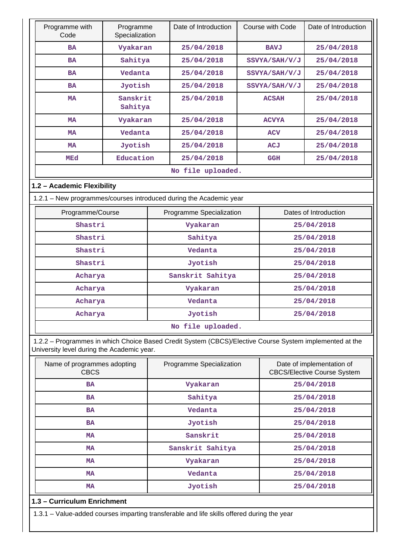|                                            | Programme with<br>Code                     | Programme<br>Specialization |  | Date of Introduction                                                                                    |            | Course with Code | Date of Introduction                                            |
|--------------------------------------------|--------------------------------------------|-----------------------------|--|---------------------------------------------------------------------------------------------------------|------------|------------------|-----------------------------------------------------------------|
|                                            | <b>BA</b>                                  | Vyakaran                    |  | 25/04/2018                                                                                              |            | <b>BAVJ</b>      | 25/04/2018                                                      |
|                                            | <b>BA</b>                                  | Sahitya                     |  | 25/04/2018                                                                                              |            | SSVYA/SAH/V/J    | 25/04/2018                                                      |
|                                            | <b>BA</b>                                  | Vedanta                     |  | 25/04/2018                                                                                              |            | SSVYA/SAH/V/J    | 25/04/2018                                                      |
|                                            | <b>BA</b>                                  | Jyotish                     |  | 25/04/2018                                                                                              |            | SSVYA/SAH/V/J    | 25/04/2018                                                      |
|                                            | <b>MA</b>                                  | Sanskrit<br>Sahitya         |  | 25/04/2018                                                                                              |            | <b>ACSAH</b>     | 25/04/2018                                                      |
|                                            | <b>MA</b>                                  | Vyakaran                    |  | 25/04/2018                                                                                              |            | <b>ACVYA</b>     | 25/04/2018                                                      |
|                                            | <b>MA</b>                                  | Vedanta                     |  | 25/04/2018                                                                                              |            | <b>ACV</b>       | 25/04/2018                                                      |
|                                            | <b>MA</b>                                  | Jyotish                     |  | 25/04/2018                                                                                              |            | ACJ              | 25/04/2018                                                      |
|                                            | MEd                                        | Education                   |  | 25/04/2018                                                                                              |            | <b>GGH</b>       | 25/04/2018                                                      |
|                                            |                                            |                             |  | No file uploaded.                                                                                       |            |                  |                                                                 |
|                                            | 1.2 - Academic Flexibility                 |                             |  |                                                                                                         |            |                  |                                                                 |
|                                            |                                            |                             |  | 1.2.1 - New programmes/courses introduced during the Academic year                                      |            |                  |                                                                 |
|                                            | Programme/Course                           |                             |  | Programme Specialization                                                                                |            |                  | Dates of Introduction                                           |
|                                            | Shastri                                    |                             |  | Vyakaran                                                                                                |            |                  | 25/04/2018                                                      |
|                                            | Shastri                                    |                             |  | Sahitya                                                                                                 |            |                  | 25/04/2018                                                      |
|                                            | Shastri                                    |                             |  | Vedanta                                                                                                 |            |                  | 25/04/2018                                                      |
|                                            | Shastri                                    |                             |  | Jyotish                                                                                                 |            |                  | 25/04/2018                                                      |
|                                            | Acharya                                    |                             |  | Sanskrit Sahitya                                                                                        |            | 25/04/2018       |                                                                 |
|                                            | Acharya                                    |                             |  | Vyakaran                                                                                                |            | 25/04/2018       |                                                                 |
|                                            | Acharya                                    |                             |  | Vedanta                                                                                                 |            |                  | 25/04/2018                                                      |
|                                            | Acharya                                    |                             |  | Jvotish                                                                                                 |            |                  | 25/04/2018                                                      |
|                                            |                                            |                             |  | No file uploaded.                                                                                       |            |                  |                                                                 |
|                                            | University level during the Academic year. |                             |  | 1.2.2 - Programmes in which Choice Based Credit System (CBCS)/Elective Course System implemented at the |            |                  |                                                                 |
| Name of programmes adopting<br><b>CBCS</b> |                                            |                             |  | Programme Specialization                                                                                |            |                  | Date of implementation of<br><b>CBCS/Elective Course System</b> |
|                                            | BA                                         |                             |  | Vyakaran                                                                                                |            |                  | 25/04/2018                                                      |
|                                            | Sahitya<br>BA                              |                             |  |                                                                                                         | 25/04/2018 |                  |                                                                 |

| Name of programmes adopting<br><b>CBCS</b>                                                                             | Programme Specialization | Date of implementation of<br><b>CBCS/Elective Course System</b> |  |  |  |  |  |
|------------------------------------------------------------------------------------------------------------------------|--------------------------|-----------------------------------------------------------------|--|--|--|--|--|
| <b>BA</b>                                                                                                              | Vyakaran                 | 25/04/2018                                                      |  |  |  |  |  |
| <b>BA</b>                                                                                                              | Sahitya                  | 25/04/2018                                                      |  |  |  |  |  |
| <b>BA</b>                                                                                                              | Vedanta                  | 25/04/2018                                                      |  |  |  |  |  |
| <b>BA</b>                                                                                                              | Jyotish                  | 25/04/2018<br>25/04/2018                                        |  |  |  |  |  |
| MA                                                                                                                     | Sanskrit                 |                                                                 |  |  |  |  |  |
| MA                                                                                                                     | Sanskrit Sahitya         | 25/04/2018                                                      |  |  |  |  |  |
| MA                                                                                                                     | Vyakaran                 | 25/04/2018                                                      |  |  |  |  |  |
| MA                                                                                                                     | Vedanta                  | 25/04/2018                                                      |  |  |  |  |  |
| MA                                                                                                                     | Jyotish                  | 25/04/2018                                                      |  |  |  |  |  |
| 1.3 - Curriculum Enrichment<br>1.2.1 John added courses importing transforable and life skills offered during the vear |                          |                                                                 |  |  |  |  |  |

1.3.1 – Value-added courses imparting transferable and life skills offered during the year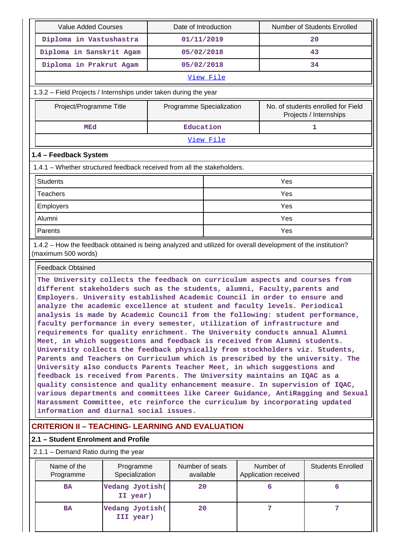| Value Added Courses                                                                                          | Date of Introduction     |                  | Number of Students Enrolled                                  |  |
|--------------------------------------------------------------------------------------------------------------|--------------------------|------------------|--------------------------------------------------------------|--|
| Diploma in Vastushastra                                                                                      | 01/11/2019               |                  | 20                                                           |  |
| Diploma in Sanskrit Agam                                                                                     | 05/02/2018               |                  | 43                                                           |  |
| Diploma in Prakrut Agam                                                                                      | 05/02/2018               |                  | 34                                                           |  |
|                                                                                                              |                          | View File        |                                                              |  |
| 1.3.2 – Field Projects / Internships under taken during the year                                             |                          |                  |                                                              |  |
| Project/Programme Title                                                                                      | Programme Specialization |                  | No. of students enrolled for Field<br>Projects / Internships |  |
| MEd                                                                                                          | Education                |                  | 1                                                            |  |
|                                                                                                              |                          | <u>View File</u> |                                                              |  |
| 1.4 - Feedback System                                                                                        |                          |                  |                                                              |  |
| 1.4.1 – Whether structured feedback received from all the stakeholders.                                      |                          |                  |                                                              |  |
| <b>Students</b>                                                                                              |                          |                  | Yes                                                          |  |
| <b>Teachers</b>                                                                                              |                          | Yes              |                                                              |  |
| <b>Employers</b>                                                                                             |                          | Yes              |                                                              |  |
| Alumni                                                                                                       |                          |                  | Yes                                                          |  |
| Parents                                                                                                      |                          |                  | Yes                                                          |  |
| 1.4.2 – How the feedback obtained is being analyzed and utilized for overall development of the institution? |                          |                  |                                                              |  |

Feedback Obtained

(maximum 500 words)

**The University collects the feedback on curriculum aspects and courses from different stakeholders such as the students, alumni, Faculty,parents and Employers. University established Academic Council in order to ensure and analyze the academic excellence at student and faculty levels. Periodical analysis is made by Academic Council from the following: student performance, faculty performance in every semester, utilization of infrastructure and requirements for quality enrichment. The University conducts annual Alumni Meet, in which suggestions and feedback is received from Alumni students. University collects the feedback physically from stockholders viz. Students, Parents and Teachers on Curriculum which is prescribed by the university. The University also conducts Parents Teacher Meet, in which suggestions and feedback is received from Parents. The University maintains an IQAC as a quality consistence and quality enhancement measure. In supervision of IQAC, various departments and committees like Career Guidance, AntiRagging and Sexual Harassment Committee, etc reinforce the curriculum by incorporating updated information and diurnal social issues.**

# **CRITERION II – TEACHING- LEARNING AND EVALUATION**

### **2.1 – Student Enrolment and Profile**

2.1.1 – Demand Ratio during the year

| Name of the<br>Programme | Programme<br>Specialization  | Number of seats<br>available | Number of<br>Application received | <b>Students Enrolled</b> |
|--------------------------|------------------------------|------------------------------|-----------------------------------|--------------------------|
| <b>BA</b>                | Vedang Jyotish(<br>II year)  | 20                           |                                   | ь                        |
| <b>BA</b>                | Vedang Jyotish(<br>III year) | 20                           |                                   |                          |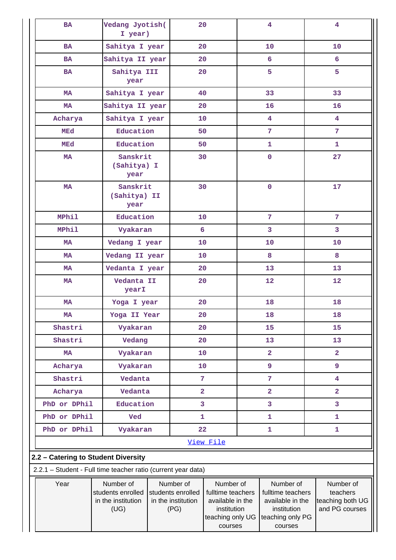| <b>BA</b>                                                     | Vedang Jyotish(<br>20<br>I year)                             |  |                                                              | $\overline{\mathbf{4}}$                                                                          | $\overline{4}$          |                                                                                                  |                                                             |
|---------------------------------------------------------------|--------------------------------------------------------------|--|--------------------------------------------------------------|--------------------------------------------------------------------------------------------------|-------------------------|--------------------------------------------------------------------------------------------------|-------------------------------------------------------------|
| <b>BA</b>                                                     | Sahitya I year                                               |  | 20                                                           |                                                                                                  |                         | 10                                                                                               | 10                                                          |
| <b>BA</b>                                                     | Sahitya II year                                              |  | 20                                                           |                                                                                                  |                         | 6                                                                                                | 6                                                           |
| BA                                                            | Sahitya III<br>year                                          |  | 20                                                           |                                                                                                  |                         | 5                                                                                                | 5                                                           |
| MA                                                            | Sahitya I year                                               |  | 40                                                           |                                                                                                  |                         | 33                                                                                               | 33                                                          |
| <b>MA</b>                                                     | Sahitya II year                                              |  | 20                                                           |                                                                                                  |                         | 16                                                                                               | 16                                                          |
| Acharya                                                       | Sahitya I year                                               |  | 10                                                           |                                                                                                  |                         | $\overline{\mathbf{4}}$                                                                          | $\overline{4}$                                              |
| MEd                                                           | Education                                                    |  | 50                                                           |                                                                                                  |                         | 7                                                                                                | 7                                                           |
| MEd                                                           | Education                                                    |  | 50                                                           |                                                                                                  |                         | $\mathbf{1}$                                                                                     | $\mathbf{1}$                                                |
| MA                                                            | Sanskrit<br>(Sahitya) I<br>year                              |  | 30                                                           |                                                                                                  |                         | $\pmb{0}$                                                                                        | 27                                                          |
| <b>MA</b>                                                     | Sanskrit<br>(Sahitya) II<br>year                             |  | 30                                                           |                                                                                                  |                         | $\pmb{0}$                                                                                        | 17                                                          |
| <b>MPhil</b>                                                  | Education                                                    |  | 10 <sub>1</sub>                                              |                                                                                                  |                         | $\overline{7}$                                                                                   | $7\phantom{.}$                                              |
| <b>MPhil</b>                                                  | Vyakaran                                                     |  | 6                                                            |                                                                                                  |                         | 3                                                                                                | 3                                                           |
| <b>MA</b>                                                     | Vedang I year                                                |  | 10                                                           |                                                                                                  |                         | 10                                                                                               | 10                                                          |
| <b>MA</b>                                                     | Vedang II year                                               |  | 10                                                           |                                                                                                  |                         | 8                                                                                                | 8                                                           |
| <b>MA</b>                                                     | Vedanta I year                                               |  | 20                                                           |                                                                                                  |                         | 13                                                                                               | 13                                                          |
| MA                                                            | Vedanta II<br>yearI                                          |  | 20                                                           |                                                                                                  |                         | 12                                                                                               | 12                                                          |
| MA                                                            | Yoga I year                                                  |  | 20                                                           |                                                                                                  |                         | 18                                                                                               | 18                                                          |
| <b>MA</b>                                                     | Yoga II Year                                                 |  | 20                                                           |                                                                                                  | 18                      | 18                                                                                               |                                                             |
| Shastri                                                       | Vyakaran                                                     |  | 20                                                           |                                                                                                  |                         | 15                                                                                               | 15                                                          |
| Shastri                                                       | Vedang                                                       |  | 20                                                           |                                                                                                  |                         | 13                                                                                               | 13                                                          |
| <b>MA</b>                                                     | Vyakaran                                                     |  | 10                                                           |                                                                                                  | $\overline{\mathbf{2}}$ |                                                                                                  | $\overline{2}$                                              |
| Acharya                                                       | Vyakaran                                                     |  | 9<br>10                                                      |                                                                                                  |                         | 9                                                                                                |                                                             |
| Shastri                                                       | Vedanta                                                      |  |                                                              | $\overline{7}$<br>7                                                                              |                         |                                                                                                  | $\overline{\mathbf{4}}$                                     |
| Acharya                                                       | Vedanta                                                      |  | $\overline{\mathbf{2}}$                                      |                                                                                                  |                         | $\overline{\mathbf{2}}$                                                                          | $\overline{\mathbf{2}}$                                     |
| PhD or DPhil                                                  | Education                                                    |  | 3                                                            |                                                                                                  |                         | 3                                                                                                | 3                                                           |
| PhD or DPhil                                                  | Ved                                                          |  | 1                                                            |                                                                                                  |                         | 1                                                                                                | 1                                                           |
| PhD or DPhil                                                  | Vyakaran                                                     |  | 22                                                           |                                                                                                  |                         | 1                                                                                                | $\mathbf{1}$                                                |
|                                                               |                                                              |  |                                                              | View File                                                                                        |                         |                                                                                                  |                                                             |
| 2.2 - Catering to Student Diversity                           |                                                              |  |                                                              |                                                                                                  |                         |                                                                                                  |                                                             |
| 2.2.1 - Student - Full time teacher ratio (current year data) |                                                              |  |                                                              |                                                                                                  |                         |                                                                                                  |                                                             |
| Year                                                          | Number of<br>students enrolled<br>in the institution<br>(UG) |  | Number of<br>students enrolled<br>in the institution<br>(PG) | Number of<br>fulltime teachers<br>available in the<br>institution<br>teaching only UG<br>courses |                         | Number of<br>fulltime teachers<br>available in the<br>institution<br>teaching only PG<br>courses | Number of<br>teachers<br>teaching both UG<br>and PG courses |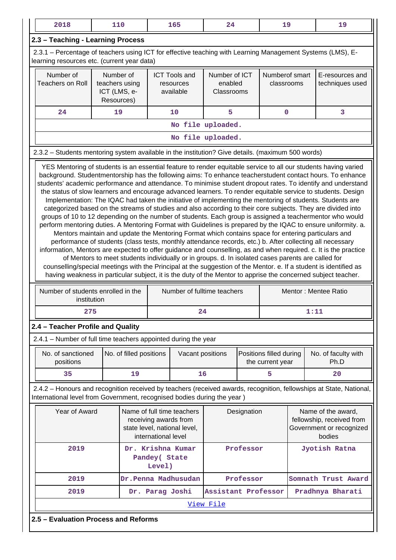| 2018                                                                                                                                                                                                                                                                                                                                                                                                                                                                                                                                                                                                                                                                                                                                                                                                                                                                                                                                                                                                                                                                                                                                                                                                                                                                                                                                                                                                                                                                                     | 110                                                       |                         |  | 165                                            | 24                                     |  | 19                                          |  | 19                                                                                                                  |
|------------------------------------------------------------------------------------------------------------------------------------------------------------------------------------------------------------------------------------------------------------------------------------------------------------------------------------------------------------------------------------------------------------------------------------------------------------------------------------------------------------------------------------------------------------------------------------------------------------------------------------------------------------------------------------------------------------------------------------------------------------------------------------------------------------------------------------------------------------------------------------------------------------------------------------------------------------------------------------------------------------------------------------------------------------------------------------------------------------------------------------------------------------------------------------------------------------------------------------------------------------------------------------------------------------------------------------------------------------------------------------------------------------------------------------------------------------------------------------------|-----------------------------------------------------------|-------------------------|--|------------------------------------------------|----------------------------------------|--|---------------------------------------------|--|---------------------------------------------------------------------------------------------------------------------|
| 2.3 - Teaching - Learning Process                                                                                                                                                                                                                                                                                                                                                                                                                                                                                                                                                                                                                                                                                                                                                                                                                                                                                                                                                                                                                                                                                                                                                                                                                                                                                                                                                                                                                                                        |                                                           |                         |  |                                                |                                        |  |                                             |  |                                                                                                                     |
| 2.3.1 – Percentage of teachers using ICT for effective teaching with Learning Management Systems (LMS), E-<br>learning resources etc. (current year data)                                                                                                                                                                                                                                                                                                                                                                                                                                                                                                                                                                                                                                                                                                                                                                                                                                                                                                                                                                                                                                                                                                                                                                                                                                                                                                                                |                                                           |                         |  |                                                |                                        |  |                                             |  |                                                                                                                     |
| Number of<br><b>Teachers on Roll</b>                                                                                                                                                                                                                                                                                                                                                                                                                                                                                                                                                                                                                                                                                                                                                                                                                                                                                                                                                                                                                                                                                                                                                                                                                                                                                                                                                                                                                                                     | Number of<br>teachers using<br>ICT (LMS, e-<br>Resources) |                         |  | <b>ICT Tools and</b><br>resources<br>available | Number of ICT<br>enabled<br>Classrooms |  | Numberof smart<br>classrooms                |  | E-resources and<br>techniques used                                                                                  |
| 24                                                                                                                                                                                                                                                                                                                                                                                                                                                                                                                                                                                                                                                                                                                                                                                                                                                                                                                                                                                                                                                                                                                                                                                                                                                                                                                                                                                                                                                                                       | 19                                                        |                         |  | 10                                             | 5                                      |  | $\mathbf 0$                                 |  | 3                                                                                                                   |
| No file uploaded.                                                                                                                                                                                                                                                                                                                                                                                                                                                                                                                                                                                                                                                                                                                                                                                                                                                                                                                                                                                                                                                                                                                                                                                                                                                                                                                                                                                                                                                                        |                                                           |                         |  |                                                |                                        |  |                                             |  |                                                                                                                     |
| No file uploaded.                                                                                                                                                                                                                                                                                                                                                                                                                                                                                                                                                                                                                                                                                                                                                                                                                                                                                                                                                                                                                                                                                                                                                                                                                                                                                                                                                                                                                                                                        |                                                           |                         |  |                                                |                                        |  |                                             |  |                                                                                                                     |
| 2.3.2 - Students mentoring system available in the institution? Give details. (maximum 500 words)                                                                                                                                                                                                                                                                                                                                                                                                                                                                                                                                                                                                                                                                                                                                                                                                                                                                                                                                                                                                                                                                                                                                                                                                                                                                                                                                                                                        |                                                           |                         |  |                                                |                                        |  |                                             |  |                                                                                                                     |
| YES Mentoring of students is an essential feature to render equitable service to all our students having varied<br>background. Studentmentorship has the following aims: To enhance teacherstudent contact hours. To enhance<br>students' academic performance and attendance. To minimise student dropout rates. To identify and understand<br>the status of slow learners and encourage advanced learners. To render equitable service to students. Design<br>Implementation: The IQAC had taken the initiative of implementing the mentoring of students. Students are<br>categorized based on the streams of studies and also according to their core subjects. They are divided into<br>groups of 10 to 12 depending on the number of students. Each group is assigned a teachermentor who would<br>perform mentoring duties. A Mentoring Format with Guidelines is prepared by the IQAC to ensure uniformity. a.<br>Mentors maintain and update the Mentoring Format which contains space for entering particulars and<br>performance of students (class tests, monthly attendance records, etc.) b. After collecting all necessary<br>information, Mentors are expected to offer guidance and counselling, as and when required. c. It is the practice<br>of Mentors to meet students individually or in groups. d. In isolated cases parents are called for<br>counselling/special meetings with the Principal at the suggestion of the Mentor. e. If a student is identified as |                                                           |                         |  |                                                |                                        |  |                                             |  |                                                                                                                     |
| Number of students enrolled in the<br>institution                                                                                                                                                                                                                                                                                                                                                                                                                                                                                                                                                                                                                                                                                                                                                                                                                                                                                                                                                                                                                                                                                                                                                                                                                                                                                                                                                                                                                                        |                                                           |                         |  | Number of fulltime teachers                    |                                        |  |                                             |  | Mentor: Mentee Ratio                                                                                                |
| 275                                                                                                                                                                                                                                                                                                                                                                                                                                                                                                                                                                                                                                                                                                                                                                                                                                                                                                                                                                                                                                                                                                                                                                                                                                                                                                                                                                                                                                                                                      |                                                           |                         |  | 24                                             |                                        |  |                                             |  | 1:11                                                                                                                |
| 2.4 - Teacher Profile and Quality                                                                                                                                                                                                                                                                                                                                                                                                                                                                                                                                                                                                                                                                                                                                                                                                                                                                                                                                                                                                                                                                                                                                                                                                                                                                                                                                                                                                                                                        |                                                           |                         |  |                                                |                                        |  |                                             |  |                                                                                                                     |
| 2.4.1 - Number of full time teachers appointed during the year                                                                                                                                                                                                                                                                                                                                                                                                                                                                                                                                                                                                                                                                                                                                                                                                                                                                                                                                                                                                                                                                                                                                                                                                                                                                                                                                                                                                                           |                                                           |                         |  |                                                |                                        |  |                                             |  |                                                                                                                     |
| No. of sanctioned<br>positions                                                                                                                                                                                                                                                                                                                                                                                                                                                                                                                                                                                                                                                                                                                                                                                                                                                                                                                                                                                                                                                                                                                                                                                                                                                                                                                                                                                                                                                           |                                                           | No. of filled positions |  | Vacant positions                               |                                        |  | Positions filled during<br>the current year |  | No. of faculty with<br>Ph.D                                                                                         |
| 35                                                                                                                                                                                                                                                                                                                                                                                                                                                                                                                                                                                                                                                                                                                                                                                                                                                                                                                                                                                                                                                                                                                                                                                                                                                                                                                                                                                                                                                                                       |                                                           | 19                      |  | 16                                             |                                        |  | 5                                           |  | 20                                                                                                                  |
| International level from Government, recognised bodies during the year )                                                                                                                                                                                                                                                                                                                                                                                                                                                                                                                                                                                                                                                                                                                                                                                                                                                                                                                                                                                                                                                                                                                                                                                                                                                                                                                                                                                                                 |                                                           |                         |  |                                                |                                        |  |                                             |  | 2.4.2 - Honours and recognition received by teachers (received awards, recognition, fellowships at State, National, |
| Year of Award<br>Name of full time teachers<br>Name of the award,<br>Designation<br>fellowship, received from<br>receiving awards from<br>Government or recognized<br>state level, national level,<br>international level<br>bodies                                                                                                                                                                                                                                                                                                                                                                                                                                                                                                                                                                                                                                                                                                                                                                                                                                                                                                                                                                                                                                                                                                                                                                                                                                                      |                                                           |                         |  |                                                |                                        |  |                                             |  |                                                                                                                     |
| Professor<br>2019<br>Dr. Krishna Kumar<br>Jyotish Ratna<br>Pandey( State<br>Level)                                                                                                                                                                                                                                                                                                                                                                                                                                                                                                                                                                                                                                                                                                                                                                                                                                                                                                                                                                                                                                                                                                                                                                                                                                                                                                                                                                                                       |                                                           |                         |  |                                                |                                        |  |                                             |  |                                                                                                                     |
| 2019<br>Somnath Trust Award<br>Dr. Penna Madhusudan<br>Professor                                                                                                                                                                                                                                                                                                                                                                                                                                                                                                                                                                                                                                                                                                                                                                                                                                                                                                                                                                                                                                                                                                                                                                                                                                                                                                                                                                                                                         |                                                           |                         |  |                                                |                                        |  |                                             |  |                                                                                                                     |
| Assistant Professor<br>Pradhnya Bharati<br>2019<br>Dr. Parag Joshi                                                                                                                                                                                                                                                                                                                                                                                                                                                                                                                                                                                                                                                                                                                                                                                                                                                                                                                                                                                                                                                                                                                                                                                                                                                                                                                                                                                                                       |                                                           |                         |  |                                                |                                        |  |                                             |  |                                                                                                                     |
|                                                                                                                                                                                                                                                                                                                                                                                                                                                                                                                                                                                                                                                                                                                                                                                                                                                                                                                                                                                                                                                                                                                                                                                                                                                                                                                                                                                                                                                                                          |                                                           |                         |  |                                                | View File                              |  |                                             |  |                                                                                                                     |
| 2.5 - Evaluation Process and Reforms                                                                                                                                                                                                                                                                                                                                                                                                                                                                                                                                                                                                                                                                                                                                                                                                                                                                                                                                                                                                                                                                                                                                                                                                                                                                                                                                                                                                                                                     |                                                           |                         |  |                                                |                                        |  |                                             |  |                                                                                                                     |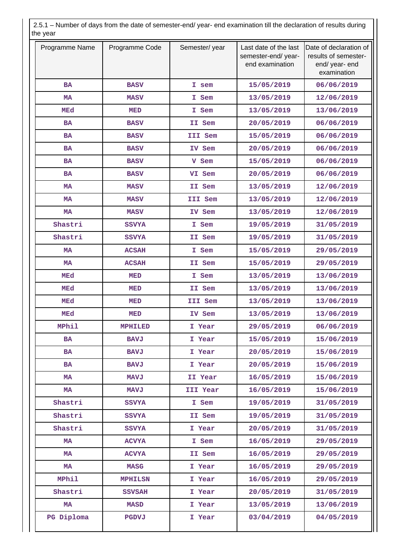2.5.1 – Number of days from the date of semester-end/ year- end examination till the declaration of results during the year

| Programme Name | Programme Code | Semester/year | Last date of the last<br>semester-end/ year-<br>end examination | Date of declaration of<br>results of semester-<br>end/ year- end<br>examination |
|----------------|----------------|---------------|-----------------------------------------------------------------|---------------------------------------------------------------------------------|
| <b>BA</b>      | <b>BASV</b>    | I sem         | 15/05/2019                                                      | 06/06/2019                                                                      |
| <b>MA</b>      | <b>MASV</b>    | I Sem         | 13/05/2019                                                      | 12/06/2019                                                                      |
| <b>MEd</b>     | MED            | I Sem         | 13/05/2019                                                      | 13/06/2019                                                                      |
| <b>BA</b>      | <b>BASV</b>    | II Sem        | 20/05/2019                                                      | 06/06/2019                                                                      |
| <b>BA</b>      | <b>BASV</b>    | III Sem       | 15/05/2019                                                      | 06/06/2019                                                                      |
| <b>BA</b>      | <b>BASV</b>    | IV Sem        | 20/05/2019                                                      | 06/06/2019                                                                      |
| <b>BA</b>      | <b>BASV</b>    | V Sem         | 15/05/2019                                                      | 06/06/2019                                                                      |
| <b>BA</b>      | <b>BASV</b>    | VI Sem        | 20/05/2019                                                      | 06/06/2019                                                                      |
| <b>MA</b>      | <b>MASV</b>    | II Sem        | 13/05/2019                                                      | 12/06/2019                                                                      |
| <b>MA</b>      | <b>MASV</b>    | III Sem       | 13/05/2019                                                      | 12/06/2019                                                                      |
| <b>MA</b>      | <b>MASV</b>    | IV Sem        | 13/05/2019                                                      | 12/06/2019                                                                      |
| Shastri        | <b>SSVYA</b>   | I Sem         | 19/05/2019                                                      | 31/05/2019                                                                      |
| Shastri        | <b>SSVYA</b>   | II Sem        | 19/05/2019                                                      | 31/05/2019                                                                      |
| <b>MA</b>      | <b>ACSAH</b>   | I Sem         | 15/05/2019                                                      | 29/05/2019                                                                      |
| <b>MA</b>      | <b>ACSAH</b>   | II Sem        | 15/05/2019                                                      | 29/05/2019                                                                      |
| <b>MEd</b>     | <b>MED</b>     | I Sem         | 13/05/2019                                                      | 13/06/2019                                                                      |
| <b>MEd</b>     | MED            | II Sem        | 13/05/2019                                                      | 13/06/2019                                                                      |
| <b>MEd</b>     | MED            | III Sem       | 13/05/2019                                                      | 13/06/2019                                                                      |
| <b>MEd</b>     | MED            | IV Sem        | 13/05/2019                                                      | 13/06/2019                                                                      |
| <b>MPhil</b>   | <b>MPHILED</b> | I Year        | 29/05/2019                                                      | 06/06/2019                                                                      |
| BA             | <b>BAVJ</b>    | I Year        | 15/05/2019                                                      | 15/06/2019                                                                      |
| <b>BA</b>      | <b>BAVJ</b>    | I Year        | 20/05/2019                                                      | 15/06/2019                                                                      |
| <b>BA</b>      | <b>BAVJ</b>    | I Year        | 20/05/2019                                                      | 15/06/2019                                                                      |
| MA             | <b>MAVJ</b>    | II Year       | 16/05/2019                                                      | 15/06/2019                                                                      |
| MA             | <b>MAVJ</b>    | III Year      | 16/05/2019                                                      | 15/06/2019                                                                      |
| Shastri        | <b>SSVYA</b>   | I Sem         | 19/05/2019                                                      | 31/05/2019                                                                      |
| Shastri        | <b>SSVYA</b>   | II Sem        | 19/05/2019                                                      | 31/05/2019                                                                      |
| Shastri        | <b>SSVYA</b>   | I Year        | 20/05/2019                                                      | 31/05/2019                                                                      |
| MA             | <b>ACVYA</b>   | I Sem         | 16/05/2019                                                      | 29/05/2019                                                                      |
| MA             | <b>ACVYA</b>   | II Sem        | 16/05/2019                                                      | 29/05/2019                                                                      |
| MA             | <b>MASG</b>    | I Year        | 16/05/2019                                                      | 29/05/2019                                                                      |
| <b>MPhil</b>   | <b>MPHILSN</b> | I Year        | 16/05/2019                                                      | 29/05/2019                                                                      |
| Shastri        | <b>SSVSAH</b>  | I Year        | 20/05/2019                                                      | 31/05/2019                                                                      |
| MA             | <b>MASD</b>    | I Year        | 13/05/2019                                                      | 13/06/2019                                                                      |
| PG Diploma     | PGDVJ          | I Year        | 03/04/2019                                                      | 04/05/2019                                                                      |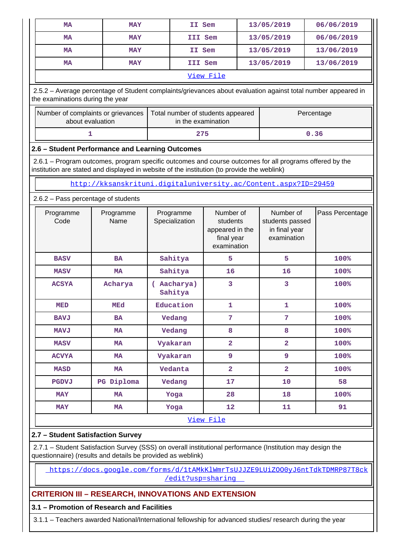|                                                                                                                                                   | <b>MA</b>                                                                                                                                                                                              | <b>MAY</b>                                                      |                                   | II Sem  |                                                                       |  | 13/05/2019                                                   | 06/06/2019      |
|---------------------------------------------------------------------------------------------------------------------------------------------------|--------------------------------------------------------------------------------------------------------------------------------------------------------------------------------------------------------|-----------------------------------------------------------------|-----------------------------------|---------|-----------------------------------------------------------------------|--|--------------------------------------------------------------|-----------------|
|                                                                                                                                                   | МA                                                                                                                                                                                                     | <b>MAY</b>                                                      |                                   | III Sem |                                                                       |  | 13/05/2019                                                   | 06/06/2019      |
|                                                                                                                                                   | <b>MA</b>                                                                                                                                                                                              | <b>MAY</b>                                                      |                                   | II Sem  |                                                                       |  | 13/05/2019                                                   | 13/06/2019      |
|                                                                                                                                                   | <b>MA</b>                                                                                                                                                                                              | <b>MAY</b>                                                      |                                   | III Sem |                                                                       |  | 13/05/2019                                                   | 13/06/2019      |
|                                                                                                                                                   |                                                                                                                                                                                                        |                                                                 |                                   |         | View File                                                             |  |                                                              |                 |
| 2.5.2 - Average percentage of Student complaints/grievances about evaluation against total number appeared in<br>the examinations during the year |                                                                                                                                                                                                        |                                                                 |                                   |         |                                                                       |  |                                                              |                 |
|                                                                                                                                                   | Number of complaints or grievances<br>about evaluation                                                                                                                                                 |                                                                 | Total number of students appeared |         | in the examination                                                    |  |                                                              | Percentage      |
|                                                                                                                                                   | 1                                                                                                                                                                                                      |                                                                 | 275                               |         |                                                                       |  | 0.36                                                         |                 |
|                                                                                                                                                   | 2.6 - Student Performance and Learning Outcomes                                                                                                                                                        |                                                                 |                                   |         |                                                                       |  |                                                              |                 |
|                                                                                                                                                   | 2.6.1 – Program outcomes, program specific outcomes and course outcomes for all programs offered by the<br>institution are stated and displayed in website of the institution (to provide the weblink) |                                                                 |                                   |         |                                                                       |  |                                                              |                 |
|                                                                                                                                                   |                                                                                                                                                                                                        | http://kksanskrituni.digitaluniversity.ac/Content.aspx?ID=29459 |                                   |         |                                                                       |  |                                                              |                 |
|                                                                                                                                                   | 2.6.2 - Pass percentage of students                                                                                                                                                                    |                                                                 |                                   |         |                                                                       |  |                                                              |                 |
|                                                                                                                                                   | Programme<br>Code                                                                                                                                                                                      | Programme<br>Name                                               | Programme<br>Specialization       |         | Number of<br>students<br>appeared in the<br>final year<br>examination |  | Number of<br>students passed<br>in final year<br>examination | Pass Percentage |
|                                                                                                                                                   | <b>BASV</b>                                                                                                                                                                                            | <b>BA</b>                                                       | Sahitya                           |         | 5                                                                     |  | 5                                                            | 100%            |
|                                                                                                                                                   | <b>MASV</b>                                                                                                                                                                                            | <b>MA</b>                                                       | Sahitya                           |         | 16                                                                    |  | 16                                                           | 100%            |
|                                                                                                                                                   | <b>ACSYA</b>                                                                                                                                                                                           | Acharya                                                         | (Aacharya)<br>Sahitya             |         | 3                                                                     |  | 3                                                            | 100%            |
|                                                                                                                                                   | <b>MED</b>                                                                                                                                                                                             | <b>MEd</b>                                                      | Education                         |         | $\mathbf 1$                                                           |  | 1                                                            | 100%            |
|                                                                                                                                                   | <b>BAVJ</b>                                                                                                                                                                                            | BA                                                              | Vedang                            |         | 7                                                                     |  | 7                                                            | 100%            |
|                                                                                                                                                   | <b>MAVJ</b>                                                                                                                                                                                            | MA                                                              | Vedang                            |         | 8                                                                     |  | 8                                                            | 100%            |
|                                                                                                                                                   | <b>MASV</b>                                                                                                                                                                                            | MA                                                              | Vyakaran                          |         | $\overline{\mathbf{2}}$                                               |  | $\overline{\mathbf{2}}$                                      | 100%            |
|                                                                                                                                                   | <b>ACVYA</b>                                                                                                                                                                                           | MA                                                              | Vyakaran                          |         | 9                                                                     |  | 9                                                            | 100%            |
|                                                                                                                                                   | <b>MASD</b>                                                                                                                                                                                            | MA                                                              | Vedanta                           |         | $\overline{2}$                                                        |  | $\overline{2}$                                               | 100%            |
|                                                                                                                                                   | PGDVJ                                                                                                                                                                                                  | PG Diploma                                                      | Vedang                            |         | 17                                                                    |  | 10                                                           | 58              |
|                                                                                                                                                   | <b>MAY</b>                                                                                                                                                                                             | MA                                                              | Yoga                              |         | 28                                                                    |  | 18                                                           | 100%            |
|                                                                                                                                                   | <b>MAY</b>                                                                                                                                                                                             | MA                                                              | Yoga                              |         | 12                                                                    |  | 11                                                           | 91              |
|                                                                                                                                                   |                                                                                                                                                                                                        |                                                                 |                                   |         |                                                                       |  |                                                              |                 |

### [View File](https://assessmentonline.naac.gov.in/public/Postacc/Pass_percentage/1542_Pass_percentage_1574844989.xlsx)

# **2.7 – Student Satisfaction Survey**

 2.7.1 – Student Satisfaction Survey (SSS) on overall institutional performance (Institution may design the questionnaire) (results and details be provided as weblink)

 [https://docs.google.com/forms/d/1tAMkKlWmrTsUJJZE9LUiZOO0yJ6ntTdkTDMRP87T8ck](https://docs.google.com/forms/d/1tAMkKlWmrTsUJJZE9LUiZOO0yJ6ntTdkTDMRP87T8ck/edit?usp=sharing) [/edit?usp=sharing](https://docs.google.com/forms/d/1tAMkKlWmrTsUJJZE9LUiZOO0yJ6ntTdkTDMRP87T8ck/edit?usp=sharing) 

# **CRITERION III – RESEARCH, INNOVATIONS AND EXTENSION**

### **3.1 – Promotion of Research and Facilities**

3.1.1 – Teachers awarded National/International fellowship for advanced studies/ research during the year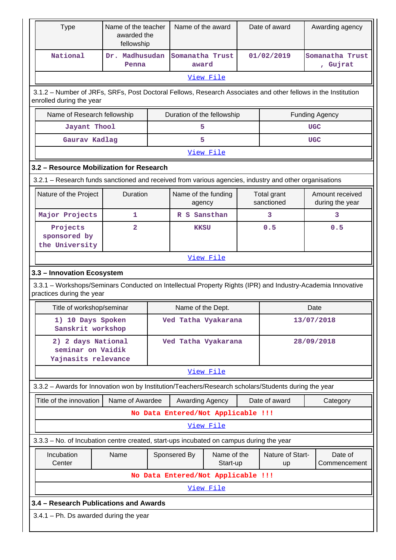|                                                                                           | <b>Type</b><br>Name of the teacher<br>awarded the<br>fellowship                                                                           |                         |  | Name of the award                  |                         |  | Date of award             | Awarding agency |                                    |  |  |
|-------------------------------------------------------------------------------------------|-------------------------------------------------------------------------------------------------------------------------------------------|-------------------------|--|------------------------------------|-------------------------|--|---------------------------|-----------------|------------------------------------|--|--|
|                                                                                           | National                                                                                                                                  | Dr. Madhusudan<br>Penna |  | Somanatha Trust<br>award           |                         |  | 01/02/2019                |                 | Somanatha Trust<br>, Gujrat        |  |  |
|                                                                                           |                                                                                                                                           |                         |  |                                    | View File               |  |                           |                 |                                    |  |  |
|                                                                                           |                                                                                                                                           |                         |  |                                    |                         |  |                           |                 |                                    |  |  |
|                                                                                           | 3.1.2 – Number of JRFs, SRFs, Post Doctoral Fellows, Research Associates and other fellows in the Institution<br>enrolled during the year |                         |  |                                    |                         |  |                           |                 |                                    |  |  |
|                                                                                           | Name of Research fellowship<br>Duration of the fellowship<br><b>Funding Agency</b>                                                        |                         |  |                                    |                         |  |                           |                 |                                    |  |  |
| Jayant Thool<br>5<br><b>UGC</b>                                                           |                                                                                                                                           |                         |  |                                    |                         |  |                           |                 |                                    |  |  |
|                                                                                           | Gaurav Kadlag                                                                                                                             |                         |  | 5                                  |                         |  |                           | <b>UGC</b>      |                                    |  |  |
| View File                                                                                 |                                                                                                                                           |                         |  |                                    |                         |  |                           |                 |                                    |  |  |
|                                                                                           | 3.2 - Resource Mobilization for Research                                                                                                  |                         |  |                                    |                         |  |                           |                 |                                    |  |  |
|                                                                                           | 3.2.1 – Research funds sanctioned and received from various agencies, industry and other organisations                                    |                         |  |                                    |                         |  |                           |                 |                                    |  |  |
|                                                                                           | Nature of the Project                                                                                                                     | Duration                |  | Name of the funding<br>agency      |                         |  | Total grant<br>sanctioned |                 | Amount received<br>during the year |  |  |
|                                                                                           | Major Projects                                                                                                                            | 1                       |  | R S Sansthan                       |                         |  | 3                         |                 | 3                                  |  |  |
| $\overline{a}$<br>0.5<br>Projects<br>0.5<br><b>KKSU</b><br>sponsored by<br>the University |                                                                                                                                           |                         |  |                                    |                         |  |                           |                 |                                    |  |  |
|                                                                                           |                                                                                                                                           |                         |  |                                    | View File               |  |                           |                 |                                    |  |  |
|                                                                                           | 3.3 - Innovation Ecosystem                                                                                                                |                         |  |                                    |                         |  |                           |                 |                                    |  |  |
|                                                                                           | 3.3.1 - Workshops/Seminars Conducted on Intellectual Property Rights (IPR) and Industry-Academia Innovative<br>practices during the year  |                         |  |                                    |                         |  |                           |                 |                                    |  |  |
|                                                                                           | Title of workshop/seminar                                                                                                                 |                         |  | Name of the Dept.                  |                         |  |                           | Date            |                                    |  |  |
|                                                                                           | 1) 10 Days Spoken<br>Sanskrit workshop                                                                                                    |                         |  | Ved Tatha Vyakarana                |                         |  |                           |                 | 13/07/2018                         |  |  |
|                                                                                           | 2) 2 days National<br>seminar on Vaidik<br>Yajnasits relevance                                                                            |                         |  | Ved Tatha Vyakarana                |                         |  |                           |                 | 28/09/2018                         |  |  |
|                                                                                           |                                                                                                                                           |                         |  |                                    | View File               |  |                           |                 |                                    |  |  |
|                                                                                           | 3.3.2 - Awards for Innovation won by Institution/Teachers/Research scholars/Students during the year                                      |                         |  |                                    |                         |  |                           |                 |                                    |  |  |
|                                                                                           | Title of the innovation                                                                                                                   | Name of Awardee         |  | Awarding Agency                    |                         |  | Date of award             |                 | Category                           |  |  |
|                                                                                           |                                                                                                                                           |                         |  | No Data Entered/Not Applicable !!! |                         |  |                           |                 |                                    |  |  |
|                                                                                           |                                                                                                                                           |                         |  |                                    | View File               |  |                           |                 |                                    |  |  |
|                                                                                           | 3.3.3 - No. of Incubation centre created, start-ups incubated on campus during the year                                                   |                         |  |                                    |                         |  |                           |                 |                                    |  |  |
|                                                                                           | Incubation<br>Center                                                                                                                      | Name                    |  | Sponsered By                       | Name of the<br>Start-up |  | Nature of Start-<br>up    |                 | Date of<br>Commencement            |  |  |
|                                                                                           | No Data Entered/Not Applicable !!!                                                                                                        |                         |  |                                    |                         |  |                           |                 |                                    |  |  |
|                                                                                           |                                                                                                                                           |                         |  |                                    | View File               |  |                           |                 |                                    |  |  |
|                                                                                           | 3.4 – Research Publications and Awards                                                                                                    |                         |  |                                    |                         |  |                           |                 |                                    |  |  |
|                                                                                           | $3.4.1$ – Ph. Ds awarded during the year                                                                                                  |                         |  |                                    |                         |  |                           |                 |                                    |  |  |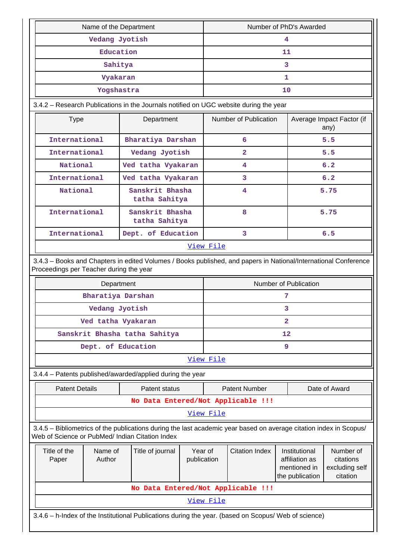|                                                                                                                                                                       | Name of the Department           |                                         |                        |           |                       |                | Number of PhD's Awarded                                            |                                                      |
|-----------------------------------------------------------------------------------------------------------------------------------------------------------------------|----------------------------------|-----------------------------------------|------------------------|-----------|-----------------------|----------------|--------------------------------------------------------------------|------------------------------------------------------|
|                                                                                                                                                                       | Vedang Jyotish                   |                                         |                        |           |                       | 4              |                                                                    |                                                      |
|                                                                                                                                                                       | Education                        |                                         |                        |           |                       | 11             |                                                                    |                                                      |
|                                                                                                                                                                       | Sahitya                          |                                         |                        |           |                       | 3              |                                                                    |                                                      |
|                                                                                                                                                                       | Vyakaran                         |                                         |                        |           |                       | $\mathbf{1}$   |                                                                    |                                                      |
|                                                                                                                                                                       | Yogshastra                       |                                         |                        | 10        |                       |                |                                                                    |                                                      |
| 3.4.2 - Research Publications in the Journals notified on UGC website during the year                                                                                 |                                  |                                         |                        |           |                       |                |                                                                    |                                                      |
| <b>Type</b>                                                                                                                                                           |                                  | Department                              |                        |           | Number of Publication |                |                                                                    | Average Impact Factor (if<br>any)                    |
| International                                                                                                                                                         |                                  | Bharatiya Darshan                       |                        |           | 6                     |                |                                                                    | 5.5                                                  |
| International                                                                                                                                                         | Vedang Jyotish                   |                                         |                        |           |                       |                | 5.5                                                                |                                                      |
| National                                                                                                                                                              | Ved tatha Vyakaran               |                                         |                        |           |                       |                |                                                                    | 6.2                                                  |
| International                                                                                                                                                         | Ved tatha Vyakaran               |                                         | 3                      |           |                       | 6.2            |                                                                    |                                                      |
| National                                                                                                                                                              | Sanskrit Bhasha<br>tatha Sahitya |                                         | 4                      |           |                       | 5.75           |                                                                    |                                                      |
| International                                                                                                                                                         | Sanskrit Bhasha<br>tatha Sahitya |                                         | 8                      |           |                       | 5.75           |                                                                    |                                                      |
| International                                                                                                                                                         |                                  | $\overline{3}$                          |                        |           | 6.5                   |                |                                                                    |                                                      |
|                                                                                                                                                                       |                                  |                                         |                        | View File |                       |                |                                                                    |                                                      |
| 3.4.3 - Books and Chapters in edited Volumes / Books published, and papers in National/International Conference                                                       |                                  |                                         |                        |           |                       |                |                                                                    |                                                      |
|                                                                                                                                                                       |                                  | Proceedings per Teacher during the year |                        |           |                       |                |                                                                    |                                                      |
|                                                                                                                                                                       | Department                       |                                         |                        |           |                       |                | Number of Publication                                              |                                                      |
| Bharatiya Darshan                                                                                                                                                     |                                  |                                         |                        |           |                       | 7              |                                                                    |                                                      |
|                                                                                                                                                                       | Vedang Jyotish                   |                                         |                        |           |                       | 3              |                                                                    |                                                      |
| Ved tatha Vyakaran                                                                                                                                                    |                                  |                                         |                        |           |                       | $\overline{2}$ |                                                                    |                                                      |
| Sanskrit Bhasha tatha Sahitya                                                                                                                                         |                                  |                                         |                        |           |                       | 12             |                                                                    |                                                      |
| Dept. of Education                                                                                                                                                    |                                  |                                         |                        |           |                       | 9              |                                                                    |                                                      |
|                                                                                                                                                                       |                                  |                                         |                        | View File |                       |                |                                                                    |                                                      |
| 3.4.4 - Patents published/awarded/applied during the year                                                                                                             |                                  |                                         |                        |           |                       |                |                                                                    |                                                      |
| <b>Patent Details</b>                                                                                                                                                 |                                  | Patent status                           |                        |           | <b>Patent Number</b>  |                |                                                                    | Date of Award                                        |
|                                                                                                                                                                       |                                  | No Data Entered/Not Applicable !!!      |                        |           |                       |                |                                                                    |                                                      |
|                                                                                                                                                                       |                                  |                                         |                        | View File |                       |                |                                                                    |                                                      |
| 3.4.5 - Bibliometrics of the publications during the last academic year based on average citation index in Scopus/<br>Web of Science or PubMed/ Indian Citation Index |                                  |                                         |                        |           |                       |                |                                                                    |                                                      |
| Title of the<br>Name of<br>Author<br>Paper                                                                                                                            |                                  | Title of journal                        | Year of<br>publication |           | <b>Citation Index</b> |                | Institutional<br>affiliation as<br>mentioned in<br>the publication | Number of<br>citations<br>excluding self<br>citation |
|                                                                                                                                                                       |                                  | No Data Entered/Not Applicable !!!      |                        |           |                       |                |                                                                    |                                                      |
|                                                                                                                                                                       |                                  |                                         |                        | View File |                       |                |                                                                    |                                                      |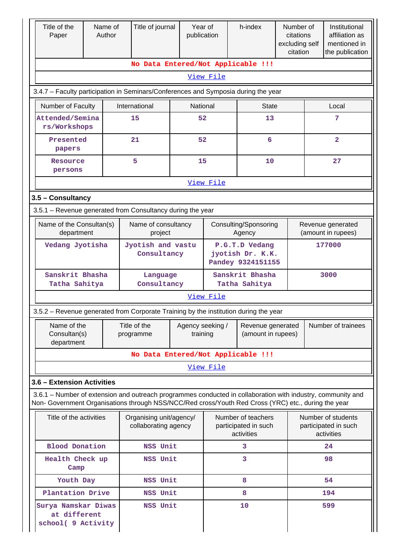| Title of the<br>Paper      |                                                                               | Name of<br>Author |  | Title of journal                                           | Year of<br>publication |                                                                         | h-index                                                                                                                                                                                                            | Number of<br>citations<br>excluding self<br>citation |                    | Institutional<br>affiliation as<br>mentioned in<br>the publication |
|----------------------------|-------------------------------------------------------------------------------|-------------------|--|------------------------------------------------------------|------------------------|-------------------------------------------------------------------------|--------------------------------------------------------------------------------------------------------------------------------------------------------------------------------------------------------------------|------------------------------------------------------|--------------------|--------------------------------------------------------------------|
|                            |                                                                               |                   |  |                                                            |                        |                                                                         | No Data Entered/Not Applicable !!!                                                                                                                                                                                 |                                                      |                    |                                                                    |
|                            |                                                                               |                   |  |                                                            |                        | View File                                                               |                                                                                                                                                                                                                    |                                                      |                    |                                                                    |
|                            |                                                                               |                   |  |                                                            |                        |                                                                         | 3.4.7 - Faculty participation in Seminars/Conferences and Symposia during the year                                                                                                                                 |                                                      |                    |                                                                    |
|                            | Number of Faculty                                                             |                   |  | International                                              | National               |                                                                         | <b>State</b>                                                                                                                                                                                                       |                                                      | Local              |                                                                    |
|                            | Attended/Semina<br>rs/Workshops                                               |                   |  | 15                                                         | 52                     |                                                                         | 13                                                                                                                                                                                                                 |                                                      |                    | 7                                                                  |
|                            | Presented<br>papers                                                           |                   |  | 21                                                         | 52                     |                                                                         | 6                                                                                                                                                                                                                  |                                                      |                    | $\overline{2}$                                                     |
|                            | Resource<br>persons                                                           |                   |  | 5                                                          | 15                     |                                                                         | 10                                                                                                                                                                                                                 |                                                      |                    | 27                                                                 |
|                            |                                                                               |                   |  |                                                            |                        | View File                                                               |                                                                                                                                                                                                                    |                                                      |                    |                                                                    |
| 3.5 - Consultancy          |                                                                               |                   |  |                                                            |                        |                                                                         |                                                                                                                                                                                                                    |                                                      |                    |                                                                    |
|                            |                                                                               |                   |  | 3.5.1 - Revenue generated from Consultancy during the year |                        |                                                                         |                                                                                                                                                                                                                    |                                                      |                    |                                                                    |
|                            | Name of the Consultan(s)<br>department                                        |                   |  | Name of consultancy<br>project                             |                        | Consulting/Sponsoring<br>Agency                                         |                                                                                                                                                                                                                    |                                                      |                    | Revenue generated<br>(amount in rupees)                            |
|                            | Vedang Jyotisha                                                               |                   |  | Jyotish and vastu<br>Consultancy                           |                        | P.G.T.D Vedang<br>jyotish Dr. K.K.<br>Pandey 9324151155                 |                                                                                                                                                                                                                    |                                                      | 177000             |                                                                    |
|                            | Sanskrit Bhasha<br>Tatha Sahitya                                              |                   |  | Language<br>Consultancy                                    |                        |                                                                         | Sanskrit Bhasha<br>Tatha Sahitya                                                                                                                                                                                   |                                                      |                    | 3000                                                               |
|                            |                                                                               |                   |  |                                                            |                        | View File                                                               |                                                                                                                                                                                                                    |                                                      |                    |                                                                    |
|                            |                                                                               |                   |  |                                                            |                        |                                                                         | 3.5.2 – Revenue generated from Corporate Training by the institution during the year                                                                                                                               |                                                      |                    |                                                                    |
|                            | Name of the<br>Consultan(s)<br>department                                     |                   |  | Title of the<br>programme                                  |                        | Agency seeking /<br>Revenue generated<br>(amount in rupees)<br>training |                                                                                                                                                                                                                    |                                                      | Number of trainees |                                                                    |
|                            |                                                                               |                   |  | No Data Entered/Not Applicable !!!                         |                        |                                                                         |                                                                                                                                                                                                                    |                                                      |                    |                                                                    |
|                            |                                                                               |                   |  |                                                            |                        | View File                                                               |                                                                                                                                                                                                                    |                                                      |                    |                                                                    |
| 3.6 - Extension Activities |                                                                               |                   |  |                                                            |                        |                                                                         |                                                                                                                                                                                                                    |                                                      |                    |                                                                    |
|                            |                                                                               |                   |  |                                                            |                        |                                                                         | 3.6.1 - Number of extension and outreach programmes conducted in collaboration with industry, community and<br>Non- Government Organisations through NSS/NCC/Red cross/Youth Red Cross (YRC) etc., during the year |                                                      |                    |                                                                    |
|                            | Title of the activities                                                       |                   |  | Organising unit/agency/<br>collaborating agency            |                        |                                                                         | Number of teachers<br>participated in such<br>activities                                                                                                                                                           |                                                      |                    | Number of students<br>participated in such<br>activities           |
|                            | <b>Blood Donation</b>                                                         |                   |  | NSS Unit                                                   |                        |                                                                         | 3                                                                                                                                                                                                                  |                                                      |                    | 24                                                                 |
|                            | Health Check up<br>Camp                                                       |                   |  | NSS Unit                                                   |                        |                                                                         | 3                                                                                                                                                                                                                  |                                                      |                    | 98                                                                 |
|                            | Youth Day                                                                     |                   |  | NSS Unit                                                   |                        |                                                                         | 8                                                                                                                                                                                                                  |                                                      |                    | 54                                                                 |
|                            |                                                                               |                   |  | NSS Unit                                                   |                        |                                                                         | 8                                                                                                                                                                                                                  |                                                      |                    | 194                                                                |
|                            | Plantation Drive<br>Surya Namskar Diwas<br>at different<br>school( 9 Activity |                   |  | NSS Unit                                                   |                        |                                                                         | 10                                                                                                                                                                                                                 |                                                      | 599                |                                                                    |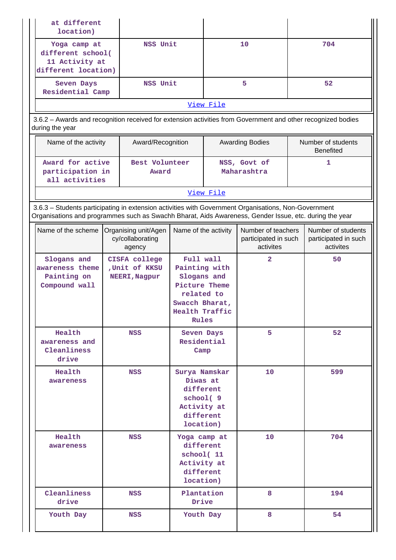|                 | at different<br>location)                                                         |                                                                                                                                                                                                                |                                                                                                                       |           |                                                         |  |                                                         |
|-----------------|-----------------------------------------------------------------------------------|----------------------------------------------------------------------------------------------------------------------------------------------------------------------------------------------------------------|-----------------------------------------------------------------------------------------------------------------------|-----------|---------------------------------------------------------|--|---------------------------------------------------------|
|                 | Yoga camp at<br>different school(<br>11 Activity at<br>different location)        | NSS Unit                                                                                                                                                                                                       |                                                                                                                       |           | 10                                                      |  | 704                                                     |
|                 | Seven Days<br>Residential Camp                                                    | NSS Unit                                                                                                                                                                                                       |                                                                                                                       |           | 5                                                       |  | 52                                                      |
|                 |                                                                                   |                                                                                                                                                                                                                |                                                                                                                       | View File |                                                         |  |                                                         |
| during the year |                                                                                   | 3.6.2 - Awards and recognition received for extension activities from Government and other recognized bodies                                                                                                   |                                                                                                                       |           |                                                         |  |                                                         |
|                 | Name of the activity                                                              | Award/Recognition                                                                                                                                                                                              |                                                                                                                       |           | <b>Awarding Bodies</b>                                  |  | Number of students<br><b>Benefited</b>                  |
|                 | Award for active<br>Best Volunteer<br>participation in<br>Award<br>all activities |                                                                                                                                                                                                                |                                                                                                                       |           | NSS, Govt of<br>Maharashtra                             |  | 1                                                       |
|                 |                                                                                   |                                                                                                                                                                                                                |                                                                                                                       | View File |                                                         |  |                                                         |
|                 |                                                                                   | 3.6.3 - Students participating in extension activities with Government Organisations, Non-Government<br>Organisations and programmes such as Swachh Bharat, Aids Awareness, Gender Issue, etc. during the year |                                                                                                                       |           |                                                         |  |                                                         |
|                 | Name of the scheme                                                                | Organising unit/Agen<br>cy/collaborating<br>agency                                                                                                                                                             | Name of the activity                                                                                                  |           | Number of teachers<br>participated in such<br>activites |  | Number of students<br>participated in such<br>activites |
|                 | Slogans and<br>awareness theme<br>Painting on<br>Compound wall                    | <b>CISFA college</b><br>, Unit of KKSU<br>NEERI, Nagpur                                                                                                                                                        | Full wall<br>Painting with<br>Slogans and<br>Picture Theme<br>related to<br>Swacch Bharat,<br>Health Traffic<br>Rules |           | $\overline{2}$                                          |  | 50                                                      |
|                 | Health<br>awareness and<br>Cleanliness<br>drive                                   | NSS                                                                                                                                                                                                            | Seven Days<br>Residential<br>Camp                                                                                     |           | 5                                                       |  | 52                                                      |
|                 | Health<br>awareness                                                               | NSS                                                                                                                                                                                                            | Surya Namskar<br>Diwas at<br>different<br>school(9<br>Activity at<br>different<br>location)                           |           | 10 <sup>°</sup>                                         |  | 599                                                     |
|                 | Health<br>awareness                                                               | NSS                                                                                                                                                                                                            | Yoga camp at<br>different<br>school(11<br>Activity at<br>different<br>location)                                       |           | 10                                                      |  | 704                                                     |
|                 | Cleanliness<br>drive                                                              | NSS                                                                                                                                                                                                            | Plantation<br>Drive                                                                                                   |           | 8                                                       |  | 194                                                     |
|                 | Youth Day                                                                         | NSS                                                                                                                                                                                                            | Youth Day                                                                                                             |           | 8                                                       |  | 54                                                      |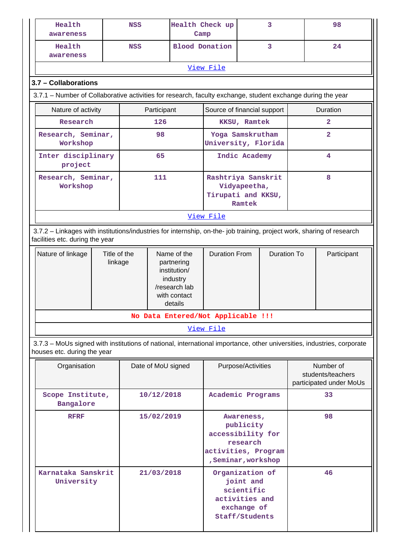| Health<br>awareness                                                                                                                                      |                          | <b>NSS</b>                               |                                                                 | Health Check up<br>Camp                                                                           |                                                 | 3                  |                    | 98                                                        |                |  |
|----------------------------------------------------------------------------------------------------------------------------------------------------------|--------------------------|------------------------------------------|-----------------------------------------------------------------|---------------------------------------------------------------------------------------------------|-------------------------------------------------|--------------------|--------------------|-----------------------------------------------------------|----------------|--|
| Health<br>awareness                                                                                                                                      |                          | <b>NSS</b>                               |                                                                 | <b>Blood Donation</b>                                                                             |                                                 |                    | 3                  |                                                           | 24             |  |
|                                                                                                                                                          |                          |                                          |                                                                 |                                                                                                   | View File                                       |                    |                    |                                                           |                |  |
| 3.7 - Collaborations                                                                                                                                     |                          |                                          |                                                                 |                                                                                                   |                                                 |                    |                    |                                                           |                |  |
| 3.7.1 – Number of Collaborative activities for research, faculty exchange, student exchange during the year                                              |                          |                                          |                                                                 |                                                                                                   |                                                 |                    |                    |                                                           |                |  |
| Nature of activity                                                                                                                                       |                          |                                          | Participant                                                     |                                                                                                   | Source of financial support                     |                    |                    | Duration                                                  |                |  |
| Research                                                                                                                                                 | 126                      |                                          |                                                                 |                                                                                                   |                                                 | KKSU, Ramtek       |                    |                                                           | $\overline{a}$ |  |
| Research, Seminar,<br>Workshop                                                                                                                           |                          |                                          | 98                                                              |                                                                                                   | Yoga Samskrutham<br>University, Florida         |                    |                    |                                                           | $\overline{2}$ |  |
| project                                                                                                                                                  | Inter disciplinary<br>65 |                                          |                                                                 | Indic Academy                                                                                     |                                                 |                    | 4                  |                                                           |                |  |
| 111<br>Research, Seminar,<br>Workshop                                                                                                                    |                          | Rashtriya Sanskrit<br>Tirupati and KKSU, | Vidyapeetha,<br>Ramtek                                          |                                                                                                   |                                                 | 8                  |                    |                                                           |                |  |
|                                                                                                                                                          |                          |                                          | View File                                                       |                                                                                                   |                                                 |                    |                    |                                                           |                |  |
| 3.7.2 - Linkages with institutions/industries for internship, on-the- job training, project work, sharing of research<br>facilities etc. during the year |                          |                                          |                                                                 |                                                                                                   |                                                 |                    |                    |                                                           |                |  |
| Nature of linkage                                                                                                                                        | Title of the<br>linkage  |                                          |                                                                 | Name of the<br>partnering<br>institution/<br>industry<br>/research lab<br>with contact<br>details | <b>Duration From</b>                            |                    | <b>Duration To</b> |                                                           | Participant    |  |
|                                                                                                                                                          |                          |                                          |                                                                 |                                                                                                   | No Data Entered/Not Applicable !!!<br>View File |                    |                    |                                                           |                |  |
| 3.7.3 - MoUs signed with institutions of national, international importance, other universities, industries, corporate<br>houses etc. during the year    |                          |                                          |                                                                 |                                                                                                   |                                                 |                    |                    |                                                           |                |  |
| Organisation                                                                                                                                             |                          |                                          | Date of MoU signed                                              |                                                                                                   |                                                 | Purpose/Activities |                    | Number of<br>students/teachers<br>participated under MoUs |                |  |
| Scope Institute,<br>Bangalore                                                                                                                            |                          |                                          | 10/12/2018                                                      |                                                                                                   | Academic Programs                               |                    |                    |                                                           | 33             |  |
| <b>RFRF</b><br>15/02/2019                                                                                                                                |                          |                                          | accessibility for<br>activities, Program<br>, Seminar, workshop | Awareness,<br>publicity<br>research                                                               |                                                 |                    | 98                 |                                                           |                |  |
| Karnataka Sanskrit<br>21/03/2018<br>University                                                                                                           |                          |                                          | Organization of<br>activities and<br>Staff/Students             | joint and<br>scientific<br>exchange of                                                            |                                                 |                    | 46                 |                                                           |                |  |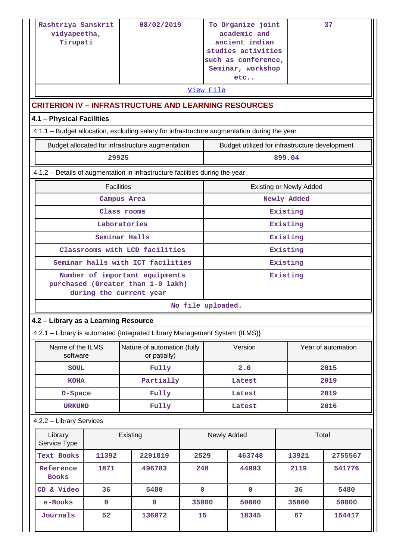| Rashtriya Sanskrit<br>vidyapeetha,<br>Tirupati                                              |                     | 08/02/2019                                  |                | View File            | To Organize joint<br>academic and<br>ancient indian<br>studies activities<br>such as conference,<br>Seminar, workshop<br>etc |                                | 37                 |  |
|---------------------------------------------------------------------------------------------|---------------------|---------------------------------------------|----------------|----------------------|------------------------------------------------------------------------------------------------------------------------------|--------------------------------|--------------------|--|
| <b>CRITERION IV - INFRASTRUCTURE AND LEARNING RESOURCES</b><br>4.1 - Physical Facilities    |                     |                                             |                |                      |                                                                                                                              |                                |                    |  |
| 4.1.1 - Budget allocation, excluding salary for infrastructure augmentation during the year |                     |                                             |                |                      |                                                                                                                              |                                |                    |  |
| Budget allocated for infrastructure augmentation                                            |                     |                                             |                |                      | Budget utilized for infrastructure development                                                                               |                                |                    |  |
| 29925                                                                                       |                     |                                             |                |                      |                                                                                                                              | 899.04                         |                    |  |
| 4.1.2 - Details of augmentation in infrastructure facilities during the year                |                     |                                             |                |                      |                                                                                                                              |                                |                    |  |
|                                                                                             | <b>Facilities</b>   |                                             |                |                      |                                                                                                                              | <b>Existing or Newly Added</b> |                    |  |
| Campus Area                                                                                 |                     |                                             |                | Newly Added          |                                                                                                                              |                                |                    |  |
| Class rooms                                                                                 |                     |                                             |                |                      |                                                                                                                              | Existing                       |                    |  |
|                                                                                             | Laboratories        |                                             |                |                      |                                                                                                                              | Existing                       |                    |  |
|                                                                                             |                     | Seminar Halls                               |                |                      |                                                                                                                              | Existing                       |                    |  |
|                                                                                             |                     | Classrooms with LCD facilities              |                | Existing             |                                                                                                                              |                                |                    |  |
| Seminar halls with ICT facilities                                                           |                     | Number of important equipments              |                | Existing<br>Existing |                                                                                                                              |                                |                    |  |
| purchased (Greater than 1-0 lakh)<br>during the current year                                |                     |                                             |                |                      |                                                                                                                              |                                |                    |  |
|                                                                                             |                     |                                             |                | No file uploaded.    |                                                                                                                              |                                |                    |  |
| 4.2 - Library as a Learning Resource                                                        |                     |                                             |                |                      |                                                                                                                              |                                |                    |  |
| 4.2.1 - Library is automated {Integrated Library Management System (ILMS)}                  |                     |                                             |                |                      |                                                                                                                              |                                |                    |  |
| Name of the ILMS<br>software                                                                |                     | Nature of automation (fully<br>or patially) |                |                      | Version                                                                                                                      |                                | Year of automation |  |
| <b>SOUL</b>                                                                                 |                     | Fully                                       |                |                      | 2.0                                                                                                                          |                                | 2015               |  |
| <b>KOHA</b>                                                                                 |                     | Partially                                   |                |                      | Latest                                                                                                                       |                                | 2019               |  |
| D-Space                                                                                     |                     | Fully                                       |                |                      | Latest                                                                                                                       |                                | 2019               |  |
| <b>URKUND</b>                                                                               |                     | Fully                                       |                |                      | Latest                                                                                                                       |                                | 2016               |  |
| 4.2.2 - Library Services                                                                    |                     |                                             |                |                      |                                                                                                                              |                                |                    |  |
| Service Type                                                                                | Library<br>Existing |                                             |                |                      | Newly Added                                                                                                                  |                                | Total              |  |
| <b>Text Books</b><br>11392                                                                  |                     | 2291819                                     | 2529           |                      | 463748                                                                                                                       | 13921                          | 2755567            |  |
| Reference<br>1871<br><b>Books</b>                                                           |                     | 496783                                      | 248            |                      | 44993                                                                                                                        | 2119                           | 541776             |  |
| CD & Video<br>36                                                                            |                     | 5480                                        | $\mathbf{0}$   |                      | $\mathbf 0$                                                                                                                  | 36                             | 5480               |  |
| $\mathbf 0$<br>e-Books<br>$\mathbf 0$                                                       |                     |                                             | 35000<br>50000 |                      | 35000                                                                                                                        | 50000                          |                    |  |
| Journals<br>52                                                                              |                     | 136072                                      | 15             |                      | 18345                                                                                                                        | 67                             | 154417             |  |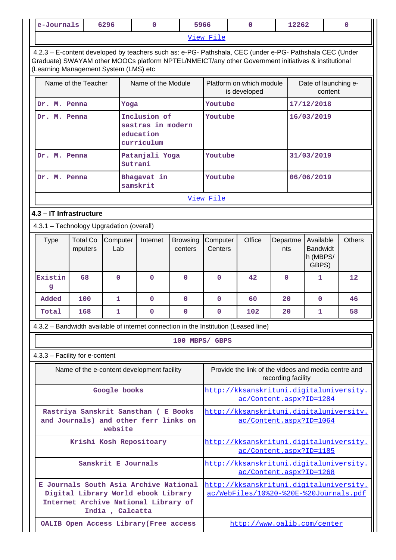| e-Journals<br>6296<br>0<br>5966<br>$\Omega$<br>12262 |                            |                     |                                                                                                                                                                                                                |                            |                                                                    |                                                                                   |                    | $\mathbf{0}$                                      |         |               |
|------------------------------------------------------|----------------------------|---------------------|----------------------------------------------------------------------------------------------------------------------------------------------------------------------------------------------------------------|----------------------------|--------------------------------------------------------------------|-----------------------------------------------------------------------------------|--------------------|---------------------------------------------------|---------|---------------|
|                                                      |                            |                     |                                                                                                                                                                                                                |                            | View File                                                          |                                                                                   |                    |                                                   |         |               |
| (Learning Management System (LMS) etc                |                            |                     | 4.2.3 - E-content developed by teachers such as: e-PG- Pathshala, CEC (under e-PG- Pathshala CEC (Under<br>Graduate) SWAYAM other MOOCs platform NPTEL/NMEICT/any other Government initiatives & institutional |                            |                                                                    |                                                                                   |                    |                                                   |         |               |
|                                                      | Name of the Teacher        |                     | Name of the Module                                                                                                                                                                                             |                            |                                                                    | Platform on which module<br>is developed                                          |                    | Date of launching e-                              | content |               |
| Dr.                                                  | M. Penna                   | Yoga                |                                                                                                                                                                                                                |                            | Youtube                                                            |                                                                                   |                    | 17/12/2018                                        |         |               |
| Dr. M. Penna                                         |                            |                     | Inclusion of<br>sastras in modern<br>education<br>curriculum                                                                                                                                                   |                            | Youtube<br>16/03/2019                                              |                                                                                   |                    |                                                   |         |               |
| Dr. M. Penna                                         |                            |                     | Patanjali Yoga<br>Sutrani                                                                                                                                                                                      |                            | Youtube                                                            |                                                                                   |                    | 31/03/2019                                        |         |               |
| Dr. M. Penna                                         |                            |                     | Bhagavat in<br>samskrit                                                                                                                                                                                        |                            | Youtube                                                            |                                                                                   |                    | 06/06/2019                                        |         |               |
|                                                      |                            |                     |                                                                                                                                                                                                                |                            | View File                                                          |                                                                                   |                    |                                                   |         |               |
| 4.3 - IT Infrastructure                              |                            |                     |                                                                                                                                                                                                                |                            |                                                                    |                                                                                   |                    |                                                   |         |               |
| 4.3.1 - Technology Upgradation (overall)             |                            |                     |                                                                                                                                                                                                                |                            |                                                                    |                                                                                   |                    |                                                   |         |               |
| <b>Type</b>                                          | <b>Total Co</b><br>mputers | Computer<br>Lab     | Internet                                                                                                                                                                                                       | <b>Browsing</b><br>centers | Computer<br>Centers                                                | Office                                                                            | Departme<br>nts    | Available<br><b>Bandwidt</b><br>h (MBPS/<br>GBPS) |         | <b>Others</b> |
| Existin<br>g                                         | 68                         | $\Omega$            | $\Omega$                                                                                                                                                                                                       | $\mathbf 0$                | $\Omega$                                                           | 42                                                                                | $\mathbf 0$        | 1                                                 |         | 12            |
| Added                                                | 100                        | 1                   | $\mathbf{0}$                                                                                                                                                                                                   | $\mathbf{O}$               | $\mathbf 0$                                                        | 60                                                                                | 20                 | $\mathbf 0$                                       |         | 46            |
| Total                                                | 168                        | 1                   | $\mathbf{0}$                                                                                                                                                                                                   | $\mathbf 0$                | 0                                                                  | 102                                                                               | 20                 | 1                                                 |         | 58            |
|                                                      |                            |                     | 4.3.2 – Bandwidth available of internet connection in the Institution (Leased line)                                                                                                                            |                            |                                                                    |                                                                                   |                    |                                                   |         |               |
|                                                      |                            |                     |                                                                                                                                                                                                                | 100 MBPS/ GBPS             |                                                                    |                                                                                   |                    |                                                   |         |               |
| 4.3.3 - Facility for e-content                       |                            |                     |                                                                                                                                                                                                                |                            |                                                                    |                                                                                   |                    |                                                   |         |               |
|                                                      |                            |                     | Name of the e-content development facility                                                                                                                                                                     |                            |                                                                    | Provide the link of the videos and media centre and                               | recording facility |                                                   |         |               |
|                                                      |                            | Google books        |                                                                                                                                                                                                                |                            | http://kksanskrituni.digitaluniversity.<br>ac/Content.aspx?ID=1284 |                                                                                   |                    |                                                   |         |               |
|                                                      |                            | website             | Rastriya Sanskrit Sansthan ( E Books<br>and Journals) and other ferr links on                                                                                                                                  |                            |                                                                    | http://kksanskrituni.digitaluniversity.<br>ac/Content.aspx?ID=1064                |                    |                                                   |         |               |
|                                                      |                            |                     | Krishi Kosh Repositoary                                                                                                                                                                                        |                            | http://kksanskrituni.digitaluniversity.<br>ac/Content.aspx?ID=1185 |                                                                                   |                    |                                                   |         |               |
|                                                      |                            | Sanskrit E Journals |                                                                                                                                                                                                                |                            |                                                                    | http://kksanskrituni.digitaluniversity.<br>ac/Content.aspx?ID=1268                |                    |                                                   |         |               |
|                                                      |                            | India, Calcatta     | E Journals South Asia Archive National<br>Digital Library World ebook Library<br>Internet Archive National Library of                                                                                          |                            |                                                                    | http://kksanskrituni.digitaluniversity.<br>ac/WebFiles/10%20-%20E-%20Journals.pdf |                    |                                                   |         |               |
|                                                      |                            |                     | OALIB Open Access Library (Free access                                                                                                                                                                         |                            |                                                                    | http://www.oalib.com/center                                                       |                    |                                                   |         |               |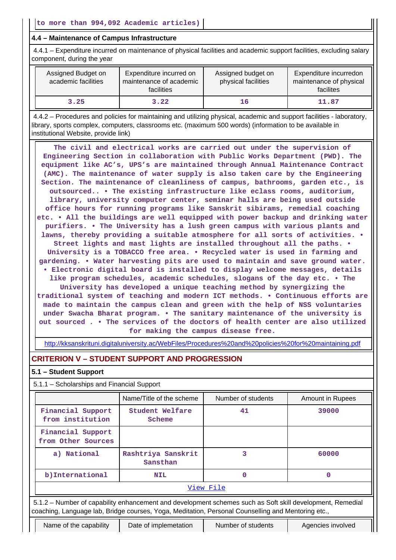### **4.4 – Maintenance of Campus Infrastructure**

 4.4.1 – Expenditure incurred on maintenance of physical facilities and academic support facilities, excluding salary component, during the year

| Assigned Budget on<br>academic facilities | Expenditure incurred on<br>maintenance of academic<br><b>facilities</b> | Assigned budget on<br>physical facilities | Expenditure incurredon<br>maintenance of physical<br>facilites |
|-------------------------------------------|-------------------------------------------------------------------------|-------------------------------------------|----------------------------------------------------------------|
| 3.25                                      | 3.22                                                                    | 16                                        | 11.87                                                          |

 4.4.2 – Procedures and policies for maintaining and utilizing physical, academic and support facilities - laboratory, library, sports complex, computers, classrooms etc. (maximum 500 words) (information to be available in institutional Website, provide link)

 **The civil and electrical works are carried out under the supervision of Engineering Section in collaboration with Public Works Department (PWD). The equipment like AC's, UPS's are maintained through Annual Maintenance Contract (AMC). The maintenance of water supply is also taken care by the Engineering Section. The maintenance of cleanliness of campus, bathrooms, garden etc., is outsourced.. • The existing infrastructure like eclass rooms, auditorium, library, university computer center, seminar halls are being used outside office hours for running programs like Sanskrit sibirams, remedial coaching etc. • All the buildings are well equipped with power backup and drinking water purifiers. • The University has a lush green campus with various plants and lawns, thereby providing a suitable atmosphere for all sorts of activities. • Street lights and mast lights are installed throughout all the paths. • University is a TOBACCO free area. • Recycled water is used in farming and gardening. • Water harvesting pits are used to maintain and save ground water. • Electronic digital board is installed to display welcome messages, details like program schedules, academic schedules, slogans of the day etc. • The University has developed a unique teaching method by synergizing the traditional system of teaching and modern ICT methods. • Continuous efforts are made to maintain the campus clean and green with the help of NSS voluntaries under Swacha Bharat program. • The sanitary maintenance of the university is out sourced . • The services of the doctors of health center are also utilized for making the campus disease free.**

<http://kksanskrituni.digitaluniversity.ac/WebFiles/Procedures%20and%20policies%20for%20maintaining.pdf>

# **CRITERION V – STUDENT SUPPORT AND PROGRESSION**

| 5.1 – Student Support                                                                                                                                                                                           |                                |                    |                         |  |  |  |  |  |  |
|-----------------------------------------------------------------------------------------------------------------------------------------------------------------------------------------------------------------|--------------------------------|--------------------|-------------------------|--|--|--|--|--|--|
| 5.1.1 - Scholarships and Financial Support                                                                                                                                                                      |                                |                    |                         |  |  |  |  |  |  |
|                                                                                                                                                                                                                 | Name/Title of the scheme       | Number of students | <b>Amount in Rupees</b> |  |  |  |  |  |  |
| Financial Support<br>from institution                                                                                                                                                                           | Student Welfare<br>Scheme      | 41                 | 39000                   |  |  |  |  |  |  |
| Financial Support<br>from Other Sources                                                                                                                                                                         |                                |                    |                         |  |  |  |  |  |  |
| a) National                                                                                                                                                                                                     | Rashtriya Sanskrit<br>Sansthan | 3                  | 60000                   |  |  |  |  |  |  |
| b) International                                                                                                                                                                                                | <b>NIL</b>                     | 0                  | O                       |  |  |  |  |  |  |
| View File                                                                                                                                                                                                       |                                |                    |                         |  |  |  |  |  |  |
| 5.1.2 – Number of capability enhancement and development schemes such as Soft skill development, Remedial<br>coaching, Language lab, Bridge courses, Yoga, Meditation, Personal Counselling and Mentoring etc., |                                |                    |                         |  |  |  |  |  |  |
| Name of the capability                                                                                                                                                                                          | Date of implemetation          | Number of students | Agencies involved       |  |  |  |  |  |  |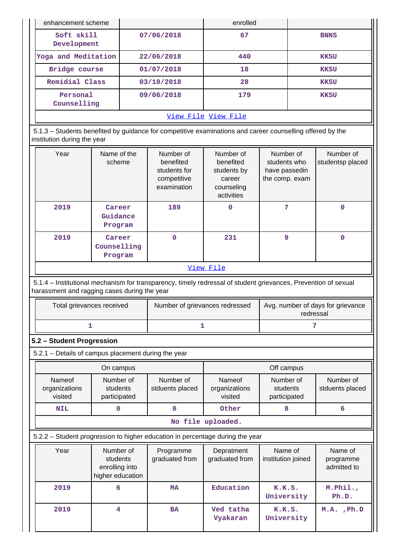| enhancement scheme                                                                                                                       |                                                                                                          |            | enrolled                                   |                               |             |  |
|------------------------------------------------------------------------------------------------------------------------------------------|----------------------------------------------------------------------------------------------------------|------------|--------------------------------------------|-------------------------------|-------------|--|
| Soft skill<br>Development                                                                                                                |                                                                                                          | 07/06/2018 | 67                                         |                               | <b>BNNS</b> |  |
| Yoga and Meditation                                                                                                                      |                                                                                                          | 22/06/2018 | 440                                        |                               | <b>KKSU</b> |  |
| Bridge course                                                                                                                            |                                                                                                          | 01/07/2018 | 18                                         |                               | <b>KKSU</b> |  |
| Remidial Class                                                                                                                           |                                                                                                          | 03/10/2018 | 28                                         |                               | <b>KKSU</b> |  |
| Personal<br>Counselling                                                                                                                  |                                                                                                          | 09/06/2018 | 179                                        |                               | <b>KKSU</b> |  |
|                                                                                                                                          |                                                                                                          |            | <u>View File View File</u>                 |                               |             |  |
| 5.1.3 – Students benefited by guidance for competitive examinations and career counselling offered by the<br>institution during the year |                                                                                                          |            |                                            |                               |             |  |
| Year                                                                                                                                     | Name of the<br>Number of<br>Number of<br>benefited<br>scheme<br>benefited<br>students for<br>students by |            | Number of<br>students who<br>have passedin | Number of<br>studentsp placed |             |  |

|      |                                  | competitive<br>examination | career<br>counseling<br>activities | the comp. exam |   |
|------|----------------------------------|----------------------------|------------------------------------|----------------|---|
| 2019 | Career<br>Guidance<br>Program    | 189                        | 0                                  |                | 0 |
| 2019 | Career<br>Counselling<br>Program | 0                          | 231                                | 9              | 0 |

### [View File](https://assessmentonline.naac.gov.in/public/Postacc/Guidance/1542_Guidance_1574927741.xlsx)

 5.1.4 – Institutional mechanism for transparency, timely redressal of student grievances, Prevention of sexual harassment and ragging cases during the year

| Total grievances received | Number of grievances redressed | Avg. number of days for grievance<br>redressal |
|---------------------------|--------------------------------|------------------------------------------------|
|                           |                                |                                                |

### **5.2 – Student Progression**

5.2.1 – Details of campus placement during the year

|                                    | On campus                             |                              | Off campus                         |                                       |                              |  |
|------------------------------------|---------------------------------------|------------------------------|------------------------------------|---------------------------------------|------------------------------|--|
| Nameof<br>organizations<br>visited | Number of<br>students<br>participated | Number of<br>stduents placed | Nameof<br>organizations<br>visited | Number of<br>students<br>participated | Number of<br>stduents placed |  |
| NIL                                |                                       |                              | Other                              |                                       |                              |  |

#### **No file uploaded.**

5.2.2 – Student progression to higher education in percentage during the year

| Year | Number of<br>students<br>enrolling into<br>higher education | Programme<br>graduated from | Depratment<br>graduated from | Name of<br>institution joined | Name of<br>programme<br>admitted to |
|------|-------------------------------------------------------------|-----------------------------|------------------------------|-------------------------------|-------------------------------------|
| 2019 | 6                                                           | <b>MA</b>                   | Education                    | K.K.S.<br>University          | $M.$ Phil.,<br>Ph.D.                |
| 2019 | 4                                                           | <b>BA</b>                   | Ved tatha<br>Vyakaran        | K.K.S.<br>University          | $M.A.$ , $Ph.D$                     |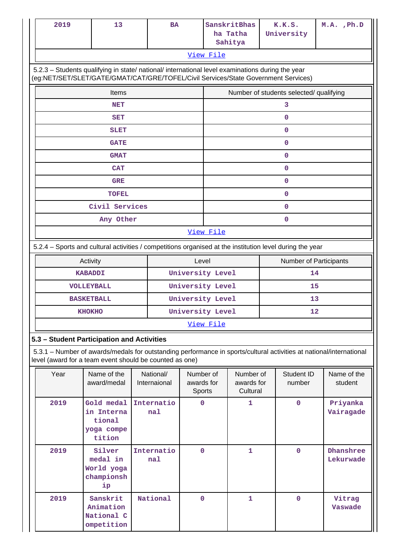| 2019                                                                                                                                                                                   | 13                                                         |  | <b>BA</b>                 |                                   |                        | SanskritBhas<br>ha Tatha<br>Sahitya |    | K.K.S.<br>University                    |  |  | $M.A.$ , $Ph.D$          |
|----------------------------------------------------------------------------------------------------------------------------------------------------------------------------------------|------------------------------------------------------------|--|---------------------------|-----------------------------------|------------------------|-------------------------------------|----|-----------------------------------------|--|--|--------------------------|
| View File                                                                                                                                                                              |                                                            |  |                           |                                   |                        |                                     |    |                                         |  |  |                          |
| 5.2.3 - Students qualifying in state/ national/ international level examinations during the year<br>(eg:NET/SET/SLET/GATE/GMAT/CAT/GRE/TOFEL/Civil Services/State Government Services) |                                                            |  |                           |                                   |                        |                                     |    |                                         |  |  |                          |
| Items                                                                                                                                                                                  |                                                            |  |                           |                                   |                        |                                     |    | Number of students selected/ qualifying |  |  |                          |
| NET                                                                                                                                                                                    |                                                            |  |                           |                                   |                        |                                     |    | 3                                       |  |  |                          |
|                                                                                                                                                                                        | <b>SET</b>                                                 |  |                           |                                   |                        |                                     |    | $\mathbf 0$                             |  |  |                          |
|                                                                                                                                                                                        | <b>SLET</b>                                                |  |                           |                                   |                        |                                     |    | $\mathbf 0$                             |  |  |                          |
|                                                                                                                                                                                        | <b>GATE</b>                                                |  |                           |                                   |                        |                                     |    | $\mathbf 0$                             |  |  |                          |
|                                                                                                                                                                                        | <b>GMAT</b>                                                |  |                           |                                   |                        |                                     |    | $\mathbf 0$                             |  |  |                          |
|                                                                                                                                                                                        | <b>CAT</b>                                                 |  |                           |                                   |                        |                                     |    | $\mathbf 0$                             |  |  |                          |
|                                                                                                                                                                                        | <b>GRE</b>                                                 |  |                           |                                   |                        |                                     |    | $\mathbf 0$                             |  |  |                          |
|                                                                                                                                                                                        | <b>TOFEL</b>                                               |  |                           |                                   |                        |                                     |    | 0                                       |  |  |                          |
|                                                                                                                                                                                        | Civil Services                                             |  |                           |                                   |                        |                                     |    | $\mathbf 0$                             |  |  |                          |
|                                                                                                                                                                                        | Any Other                                                  |  |                           |                                   |                        |                                     |    | $\mathbf 0$                             |  |  |                          |
| View File                                                                                                                                                                              |                                                            |  |                           |                                   |                        |                                     |    |                                         |  |  |                          |
| 5.2.4 - Sports and cultural activities / competitions organised at the institution level during the year                                                                               |                                                            |  |                           |                                   |                        |                                     |    |                                         |  |  |                          |
|                                                                                                                                                                                        | Activity                                                   |  |                           | Level                             | Number of Participants |                                     |    |                                         |  |  |                          |
|                                                                                                                                                                                        | <b>KABADDI</b>                                             |  | University Level          |                                   |                        | 14                                  |    |                                         |  |  |                          |
|                                                                                                                                                                                        | <b>VOLLEYBALL</b>                                          |  | University Level          |                                   |                        | 15                                  |    |                                         |  |  |                          |
|                                                                                                                                                                                        | <b>BASKETBALL</b>                                          |  | University Level          |                                   |                        |                                     | 13 |                                         |  |  |                          |
|                                                                                                                                                                                        | <b>KHOKHO</b>                                              |  |                           |                                   | University Level<br>12 |                                     |    |                                         |  |  |                          |
|                                                                                                                                                                                        |                                                            |  |                           |                                   | View File              |                                     |    |                                         |  |  |                          |
| 5.3 - Student Participation and Activities                                                                                                                                             |                                                            |  |                           |                                   |                        |                                     |    |                                         |  |  |                          |
| 5.3.1 - Number of awards/medals for outstanding performance in sports/cultural activities at national/international<br>level (award for a team event should be counted as one)         |                                                            |  |                           |                                   |                        |                                     |    |                                         |  |  |                          |
| Year                                                                                                                                                                                   | Name of the<br>award/medal                                 |  | National/<br>Internaional | Number of<br>awards for<br>Sports |                        | Number of<br>awards for<br>Cultural |    | Student ID<br>number                    |  |  | Name of the<br>student   |
| 2019                                                                                                                                                                                   | Gold medal<br>in Interna<br>tional<br>yoga compe<br>tition |  | Internatio<br>na1         | $\mathbf 0$                       |                        | 1                                   |    | $\mathbf 0$                             |  |  | Priyanka<br>Vairagade    |
| Internatio<br>2019<br>Silver<br>$\mathbf 0$<br>medal in<br>na1<br>World yoga<br>championsh<br>ip                                                                                       |                                                            |  | 1                         |                                   | $\mathbf 0$            |                                     |    | Dhanshree<br>Lekurwade                  |  |  |                          |
| 2019                                                                                                                                                                                   | Sanskrit<br>Animation<br>National C<br>ompetition          |  | National                  | $\mathbf 0$                       |                        | $\mathbf{1}$                        |    | $\mathbf 0$                             |  |  | Vitrag<br><b>Vaswade</b> |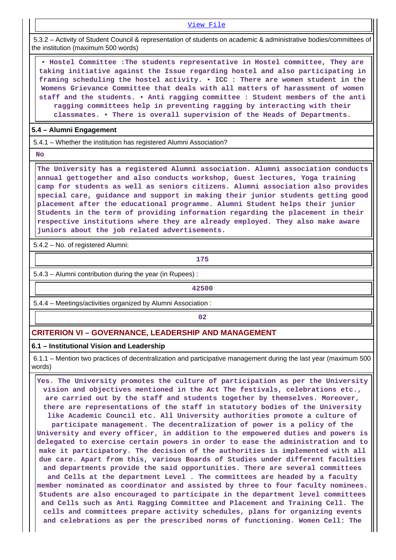### [View File](https://assessmentonline.naac.gov.in/public/Postacc/awards_in_activities/1542_awards_in_activities_1577250749.xlsx)

 5.3.2 – Activity of Student Council & representation of students on academic & administrative bodies/committees of the institution (maximum 500 words)

 **• Hostel Committee :The students representative in Hostel committee, They are taking initiative against the Issue regarding hostel and also participating in framing scheduling the hostel activity. • ICC : There are women student in the Womens Grievance Committee that deals with all matters of harassment of women staff and the students. • Anti ragging committee : Student members of the anti ragging committees help in preventing ragging by interacting with their classmates. • There is overall supervision of the Heads of Departments.**

### **5.4 – Alumni Engagement**

5.4.1 – Whether the institution has registered Alumni Association?

 **No**

 **The University has a registered Alumni association. Alumni association conducts annual gettogether and also conducts workshop, Guest lectures, Yoga training camp for students as well as seniors citizens. Alumni association also provides special care, guidance and support in making their junior students getting good placement after the educational programme. Alumni Student helps their junior Students in the term of providing information regarding the placement in their respective institutions where they are already employed. They also make aware juniors about the job related advertisements.**

5.4.2 – No. of registered Alumni:

**175**

5.4.3 – Alumni contribution during the year (in Rupees) :

**42500**

5.4.4 – Meetings/activities organized by Alumni Association :

**02**

### **CRITERION VI – GOVERNANCE, LEADERSHIP AND MANAGEMENT**

#### **6.1 – Institutional Vision and Leadership**

 6.1.1 – Mention two practices of decentralization and participative management during the last year (maximum 500 words)

 **Yes. The University promotes the culture of participation as per the University vision and objectives mentioned in the Act The festivals, celebrations etc., are carried out by the staff and students together by themselves. Moreover, there are representations of the staff in statutory bodies of the University like Academic Council etc. All University authorities promote a culture of participate management. The decentralization of power is a policy of the University and every officer, in addition to the empowered duties and powers is delegated to exercise certain powers in order to ease the administration and to make it participatory. The decision of the authorities is implemented with all due care. Apart from this, various Boards of Studies under different faculties and departments provide the said opportunities. There are several committees and Cells at the department Level . The committees are headed by a faculty member nominated as coordinator and assisted by three to four faculty nominees. Students are also encouraged to participate in the department level committees and Cells such as Anti Ragging Committee and Placement and Training Cell. The cells and committees prepare activity schedules, plans for organizing events and celebrations as per the prescribed norms of functioning. Women Cell: The**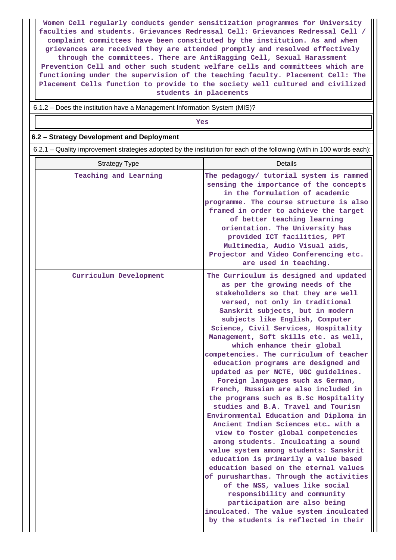**Women Cell regularly conducts gender sensitization programmes for University faculties and students. Grievances Redressal Cell: Grievances Redressal Cell / complaint committees have been constituted by the institution. As and when grievances are received they are attended promptly and resolved effectively through the committees. There are AntiRagging Cell, Sexual Harassment Prevention Cell and other such student welfare cells and committees which are functioning under the supervision of the teaching faculty. Placement Cell: The Placement Cells function to provide to the society well cultured and civilized students in placements**

6.1.2 – Does the institution have a Management Information System (MIS)?

*Yes* **6.2 – Strategy Development and Deployment** 6.2.1 – Quality improvement strategies adopted by the institution for each of the following (with in 100 words each): Strategy Type **Details Teaching and Learning The pedagogy/ tutorial system is rammed sensing the importance of the concepts in the formulation of academic programme. The course structure is also framed in order to achieve the target of better teaching learning orientation. The University has provided ICT facilities, PPT Multimedia, Audio Visual aids, Projector and Video Conferencing etc. are used in teaching. Curriculum Development The Curriculum is designed and updated as per the growing needs of the stakeholders so that they are well versed, not only in traditional Sanskrit subjects, but in modern subjects like English, Computer Science, Civil Services, Hospitality Management, Soft skills etc. as well, which enhance their global competencies. The curriculum of teacher education programs are designed and updated as per NCTE, UGC guidelines. Foreign languages such as German, French, Russian are also included in the programs such as B.Sc Hospitality studies and B.A. Travel and Tourism Environmental Education and Diploma in Ancient Indian Sciences etc… with a view to foster global competencies among students. Inculcating a sound value system among students: Sanskrit education is primarily a value based education based on the eternal values of purusharthas. Through the activities of the NSS, values like social responsibility and community participation are also being inculcated. The value system inculcated by the students is reflected in their**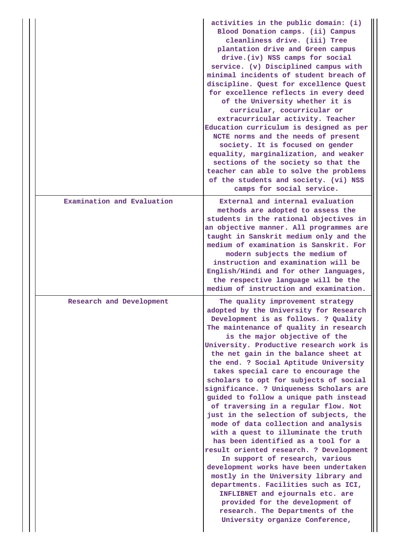|                            | activities in the public domain: (i)<br>Blood Donation camps. (ii) Campus<br>cleanliness drive. (iii) Tree<br>plantation drive and Green campus<br>drive. (iv) NSS camps for social<br>service. (v) Disciplined campus with<br>minimal incidents of student breach of<br>discipline. Quest for excellence Quest<br>for excellence reflects in every deed<br>of the University whether it is<br>curricular, cocurricular or<br>extracurricular activity. Teacher<br>Education curriculum is designed as per<br>NCTE norms and the needs of present<br>society. It is focused on gender<br>equality, marginalization, and weaker<br>sections of the society so that the<br>teacher can able to solve the problems<br>of the students and society. (vi) NSS<br>camps for social service.                                                                                                                                                                                                                                                                          |
|----------------------------|----------------------------------------------------------------------------------------------------------------------------------------------------------------------------------------------------------------------------------------------------------------------------------------------------------------------------------------------------------------------------------------------------------------------------------------------------------------------------------------------------------------------------------------------------------------------------------------------------------------------------------------------------------------------------------------------------------------------------------------------------------------------------------------------------------------------------------------------------------------------------------------------------------------------------------------------------------------------------------------------------------------------------------------------------------------|
| Examination and Evaluation | External and internal evaluation<br>methods are adopted to assess the<br>students in the rational objectives in<br>an objective manner. All programmes are<br>taught in Sanskrit medium only and the<br>medium of examination is Sanskrit. For<br>modern subjects the medium of<br>instruction and examination will be<br>English/Hindi and for other languages,<br>the respective language will be the<br>medium of instruction and examination.                                                                                                                                                                                                                                                                                                                                                                                                                                                                                                                                                                                                              |
| Research and Development   | The quality improvement strategy<br>adopted by the University for Research<br>Development is as follows. ? Quality<br>The maintenance of quality in research<br>is the major objective of the<br>University. Productive research work is<br>the net gain in the balance sheet at<br>the end. ? Social Aptitude University<br>takes special care to encourage the<br>scholars to opt for subjects of social<br>significance. ? Uniqueness Scholars are<br>guided to follow a unique path instead<br>of traversing in a regular flow. Not<br>just in the selection of subjects, the<br>mode of data collection and analysis<br>with a quest to illuminate the truth<br>has been identified as a tool for a<br>result oriented research. ? Development<br>In support of research, various<br>development works have been undertaken<br>mostly in the University library and<br>departments. Facilities such as ICI,<br>INFLIBNET and ejournals etc. are<br>provided for the development of<br>research. The Departments of the<br>University organize Conference, |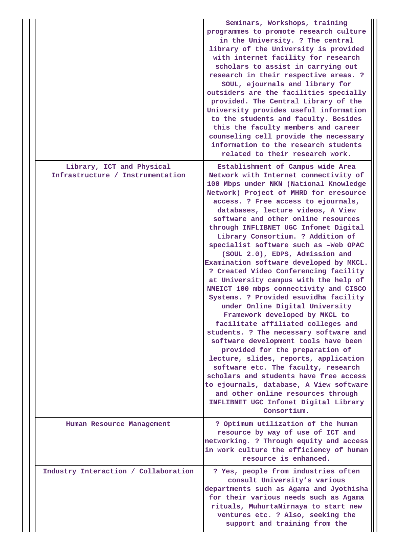|  |                                                               | Seminars, Workshops, training<br>programmes to promote research culture<br>in the University. ? The central<br>library of the University is provided<br>with internet facility for research<br>scholars to assist in carrying out<br>research in their respective areas. ?<br>SOUL, ejournals and library for<br>outsiders are the facilities specially<br>provided. The Central Library of the<br>University provides useful information<br>to the students and faculty. Besides<br>this the faculty members and career<br>counseling cell provide the necessary<br>information to the research students<br>related to their research work.                                                                                                                                                                                                                                                                                                                                                                                                                                                                                                                   |
|--|---------------------------------------------------------------|----------------------------------------------------------------------------------------------------------------------------------------------------------------------------------------------------------------------------------------------------------------------------------------------------------------------------------------------------------------------------------------------------------------------------------------------------------------------------------------------------------------------------------------------------------------------------------------------------------------------------------------------------------------------------------------------------------------------------------------------------------------------------------------------------------------------------------------------------------------------------------------------------------------------------------------------------------------------------------------------------------------------------------------------------------------------------------------------------------------------------------------------------------------|
|  | Library, ICT and Physical<br>Infrastructure / Instrumentation | Establishment of Campus wide Area<br>Network with Internet connectivity of<br>100 Mbps under NKN (National Knowledge<br>Network) Project of MHRD for eresource<br>access. ? Free access to ejournals,<br>databases, lecture videos, A View<br>software and other online resources<br>through INFLIBNET UGC Infonet Digital<br>Library Consortium. ? Addition of<br>specialist software such as -Web OPAC<br>(SOUL 2.0), EDPS, Admission and<br>Examination software developed by MKCL.<br>? Created Video Conferencing facility<br>at University campus with the help of<br>NMEICT 100 mbps connectivity and CISCO<br>Systems. ? Provided esuvidha facility<br>under Online Digital University<br>Framework developed by MKCL to<br>facilitate affiliated colleges and<br>students. ? The necessary software and<br>software development tools have been<br>provided for the preparation of<br>lecture, slides, reports, application<br>software etc. The faculty, research<br>scholars and students have free access<br>to ejournals, database, A View software<br>and other online resources through<br>INFLIBNET UGC Infonet Digital Library<br>Consortium. |
|  | Human Resource Management                                     | ? Optimum utilization of the human<br>resource by way of use of ICT and<br>networking. ? Through equity and access<br>in work culture the efficiency of human<br>resource is enhanced.                                                                                                                                                                                                                                                                                                                                                                                                                                                                                                                                                                                                                                                                                                                                                                                                                                                                                                                                                                         |
|  | Industry Interaction / Collaboration                          | ? Yes, people from industries often<br>consult University's various<br>departments such as Agama and Jyothisha<br>for their various needs such as Agama<br>rituals, MuhurtaNirnaya to start new<br>ventures etc. ? Also, seeking the<br>support and training from the                                                                                                                                                                                                                                                                                                                                                                                                                                                                                                                                                                                                                                                                                                                                                                                                                                                                                          |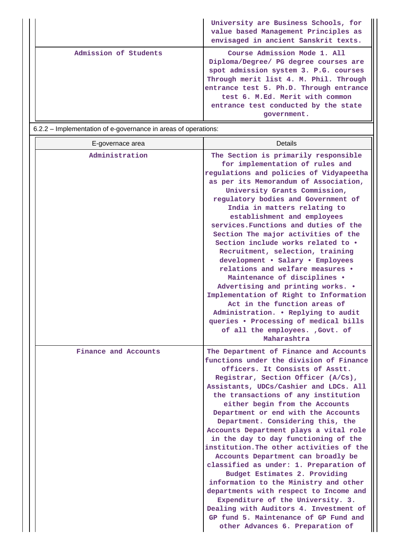|                       | University are Business Schools, for<br>value based Management Principles as<br>envisaged in ancient Sanskrit texts.                                                                                                                                                                          |
|-----------------------|-----------------------------------------------------------------------------------------------------------------------------------------------------------------------------------------------------------------------------------------------------------------------------------------------|
| Admission of Students | Course Admission Mode 1. All<br>Diploma/Degree/ PG degree courses are<br>spot admission system 3. P.G. courses<br>Through merit list 4. M. Phil. Through<br>entrance test 5. Ph.D. Through entrance<br>test 6. M.Ed. Merit with common<br>entrance test conducted by the state<br>government. |

6.2.2 – Implementation of e-governance in areas of operations:

| E-governace area     | <b>Details</b>                                                                                                                                                                                                                                                                                                                                                                                                                                                                                                                                                                                                                                                                                                                                                                                                                                          |
|----------------------|---------------------------------------------------------------------------------------------------------------------------------------------------------------------------------------------------------------------------------------------------------------------------------------------------------------------------------------------------------------------------------------------------------------------------------------------------------------------------------------------------------------------------------------------------------------------------------------------------------------------------------------------------------------------------------------------------------------------------------------------------------------------------------------------------------------------------------------------------------|
| Administration       | The Section is primarily responsible<br>for implementation of rules and<br>regulations and policies of Vidyapeetha<br>as per its Memorandum of Association,<br>University Grants Commission,<br>regulatory bodies and Government of<br>India in matters relating to<br>establishment and employees<br>services. Functions and duties of the<br>Section The major activities of the<br>Section include works related to .<br>Recruitment, selection, training<br>development . Salary . Employees<br>relations and welfare measures .<br>Maintenance of disciplines .<br>Advertising and printing works. .<br>Implementation of Right to Information<br>Act in the function areas of<br>Administration. . Replying to audit<br>queries . Processing of medical bills<br>of all the employees. , Govt. of<br>Maharashtra                                  |
| Finance and Accounts | The Department of Finance and Accounts<br>functions under the division of Finance<br>officers. It Consists of Asstt.<br>Registrar, Section Officer (A/Cs),<br>Assistants, UDCs/Cashier and LDCs. All<br>the transactions of any institution<br>either begin from the Accounts<br>Department or end with the Accounts<br>Department. Considering this, the<br>Accounts Department plays a vital role<br>in the day to day functioning of the<br>institution. The other activities of the<br>Accounts Department can broadly be<br>classified as under: 1. Preparation of<br>Budget Estimates 2. Providing<br>information to the Ministry and other<br>departments with respect to Income and<br>Expenditure of the University. 3.<br>Dealing with Auditors 4. Investment of<br>GP fund 5. Maintenance of GP Fund and<br>other Advances 6. Preparation of |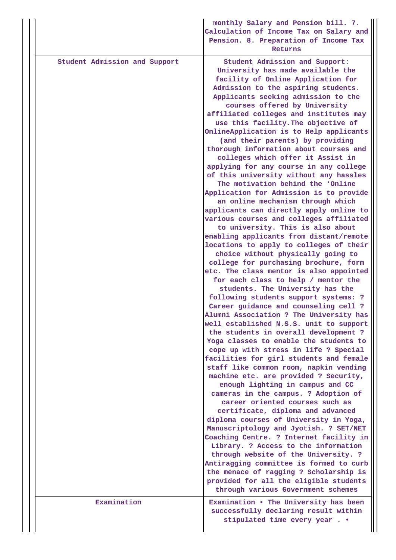|  |                               | monthly Salary and Pension bill. 7.<br>Calculation of Income Tax on Salary and<br>Pension. 8. Preparation of Income Tax<br>Returns                                                                                                                                                                                                                                                                                                                                                                                                                                                                                                                                                                                                                                                                                                                                                                                                                                                                                                                                                                                                                                                                                                                                                                                                                                                                                                                                                                                                                                                                                                                                                                                                                                                                                                                                                                                                                                                                                                         |
|--|-------------------------------|--------------------------------------------------------------------------------------------------------------------------------------------------------------------------------------------------------------------------------------------------------------------------------------------------------------------------------------------------------------------------------------------------------------------------------------------------------------------------------------------------------------------------------------------------------------------------------------------------------------------------------------------------------------------------------------------------------------------------------------------------------------------------------------------------------------------------------------------------------------------------------------------------------------------------------------------------------------------------------------------------------------------------------------------------------------------------------------------------------------------------------------------------------------------------------------------------------------------------------------------------------------------------------------------------------------------------------------------------------------------------------------------------------------------------------------------------------------------------------------------------------------------------------------------------------------------------------------------------------------------------------------------------------------------------------------------------------------------------------------------------------------------------------------------------------------------------------------------------------------------------------------------------------------------------------------------------------------------------------------------------------------------------------------------|
|  | Student Admission and Support | Student Admission and Support:<br>University has made available the<br>facility of Online Application for<br>Admission to the aspiring students.<br>Applicants seeking admission to the<br>courses offered by University<br>affiliated colleges and institutes may<br>use this facility. The objective of<br>OnlineApplication is to Help applicants<br>(and their parents) by providing<br>thorough information about courses and<br>colleges which offer it Assist in<br>applying for any course in any college<br>of this university without any hassles<br>The motivation behind the 'Online<br>Application for Admission is to provide<br>an online mechanism through which<br>applicants can directly apply online to<br>various courses and colleges affiliated<br>to university. This is also about<br>enabling applicants from distant/remote<br>locations to apply to colleges of their<br>choice without physically going to<br>college for purchasing brochure, form<br>etc. The class mentor is also appointed<br>for each class to help / mentor the<br>students. The University has the<br>following students support systems: ?<br>Career guidance and counseling cell ?<br>Alumni Association ? The University has<br>well established N.S.S. unit to support<br>the students in overall development ?<br>Yoga classes to enable the students to<br>cope up with stress in life ? Special<br>facilities for girl students and female<br>staff like common room, napkin vending<br>machine etc. are provided ? Security,<br>enough lighting in campus and CC<br>cameras in the campus. ? Adoption of<br>career oriented courses such as<br>certificate, diploma and advanced<br>diploma courses of University in Yoga,<br>Manuscriptology and Jyotish. ? SET/NET<br>Coaching Centre. ? Internet facility in<br>Library. ? Access to the information<br>through website of the University. ?<br>Antiragging committee is formed to curb<br>the menace of ragging ? Scholarship is<br>provided for all the eligible students |
|  | Examination                   | through various Government schemes<br>Examination . The University has been                                                                                                                                                                                                                                                                                                                                                                                                                                                                                                                                                                                                                                                                                                                                                                                                                                                                                                                                                                                                                                                                                                                                                                                                                                                                                                                                                                                                                                                                                                                                                                                                                                                                                                                                                                                                                                                                                                                                                                |
|  |                               | successfully declaring result within<br>stipulated time every year                                                                                                                                                                                                                                                                                                                                                                                                                                                                                                                                                                                                                                                                                                                                                                                                                                                                                                                                                                                                                                                                                                                                                                                                                                                                                                                                                                                                                                                                                                                                                                                                                                                                                                                                                                                                                                                                                                                                                                         |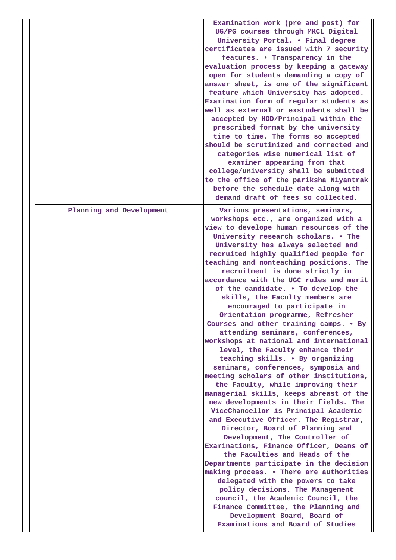|                          | Examination work (pre and post) for<br>UG/PG courses through MKCL Digital<br>University Portal. . Final degree<br>certificates are issued with 7 security<br>features. • Transparency in the<br>evaluation process by keeping a gateway<br>open for students demanding a copy of<br>answer sheet, is one of the significant<br>feature which University has adopted.<br>Examination form of regular students as<br>well as external or exstudents shall be<br>accepted by HOD/Principal within the<br>prescribed format by the university<br>time to time. The forms so accepted<br>should be scrutinized and corrected and<br>categories wise numerical list of<br>examiner appearing from that<br>college/university shall be submitted<br>to the office of the pariksha Niyantrak<br>before the schedule date along with<br>demand draft of fees so collected.                                                                                                                                                                                                                                                                                                                                                                                                                                                                                                                                                                                                               |
|--------------------------|---------------------------------------------------------------------------------------------------------------------------------------------------------------------------------------------------------------------------------------------------------------------------------------------------------------------------------------------------------------------------------------------------------------------------------------------------------------------------------------------------------------------------------------------------------------------------------------------------------------------------------------------------------------------------------------------------------------------------------------------------------------------------------------------------------------------------------------------------------------------------------------------------------------------------------------------------------------------------------------------------------------------------------------------------------------------------------------------------------------------------------------------------------------------------------------------------------------------------------------------------------------------------------------------------------------------------------------------------------------------------------------------------------------------------------------------------------------------------------|
| Planning and Development | Various presentations, seminars,<br>workshops etc., are organized with a<br>view to develope human resources of the<br>University research scholars. . The<br>University has always selected and<br>recruited highly qualified people for<br>teaching and nonteaching positions. The<br>recruitment is done strictly in<br>accordance with the UGC rules and merit<br>of the candidate. . To develop the<br>skills, the Faculty members are<br>encouraged to participate in<br>Orientation programme, Refresher<br>Courses and other training camps. • By<br>attending seminars, conferences,<br>workshops at national and international<br>level, the Faculty enhance their<br>teaching skills. . By organizing<br>seminars, conferences, symposia and<br>meeting scholars of other institutions,<br>the Faculty, while improving their<br>managerial skills, keeps abreast of the<br>new developments in their fields. The<br>ViceChancellor is Principal Academic<br>and Executive Officer. The Registrar,<br>Director, Board of Planning and<br>Development, The Controller of<br>Examinations, Finance Officer, Deans of<br>the Faculties and Heads of the<br>Departments participate in the decision<br>making process. . There are authorities<br>delegated with the powers to take<br>policy decisions. The Management<br>council, the Academic Council, the<br>Finance Committee, the Planning and<br>Development Board, Board of<br>Examinations and Board of Studies |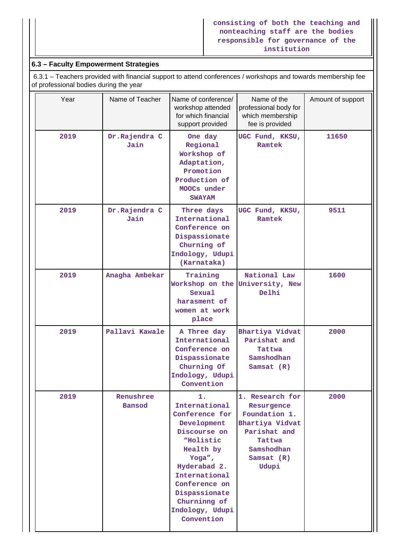### **consisting of both the teaching and nonteaching staff are the bodies responsible for governance of the institution**

# **6.3 – Faculty Empowerment Strategies**

 6.3.1 – Teachers provided with financial support to attend conferences / workshops and towards membership fee of professional bodies during the year

| Year | Name of Teacher            | Name of conference/<br>workshop attended<br>for which financial<br>support provided                                                                                                                                          | Name of the<br>professional body for<br>which membership<br>fee is provided                                                        | Amount of support |
|------|----------------------------|------------------------------------------------------------------------------------------------------------------------------------------------------------------------------------------------------------------------------|------------------------------------------------------------------------------------------------------------------------------------|-------------------|
| 2019 | Dr.Rajendra C<br>Jain      | One day<br>Regional<br>Workshop of<br>Adaptation,<br>Promotion<br>Production of<br>MOOCs under<br><b>SWAYAM</b>                                                                                                              | UGC Fund, KKSU,<br>Ramtek                                                                                                          | 11650             |
| 2019 | Dr.Rajendra C<br>Jain      | Three days<br>International<br>Conference on<br>Dispassionate<br>Churning of<br>Indology, Udupi<br>(Karnataka)                                                                                                               | UGC Fund, KKSU,<br>Ramtek                                                                                                          | 9511              |
| 2019 | Anagha Ambekar             | Training<br>Workshop on the University, New<br>Sexual<br>harasment of<br>women at work<br>place                                                                                                                              | National Law<br>Delhi                                                                                                              | 1600              |
| 2019 | Pallavi Kawale             | A Three day<br>International<br>Conference on<br>Dispassionate<br>Churning Of<br>Indology, Udupi<br>Convention                                                                                                               | Bhartiya Vidvat<br>Parishat and<br>Tattwa<br>Samshodhan<br>Samsat $(R)$                                                            | 2000              |
| 2019 | Renushree<br><b>Bansod</b> | 1.<br>International<br>Conference for<br>Development<br>Discourse on<br>"Holistic<br>Health by<br>Yoga",<br>Hyderabad 2.<br>International<br>Conference on<br>Dispassionate<br>Churninng of<br>Indology, Udupi<br>Convention | 1. Research for<br>Resurgence<br>Foundation 1.<br>Bhartiya Vidvat<br>Parishat and<br>Tattwa<br>Samshodhan<br>Samsat $(R)$<br>Udupi | 2000              |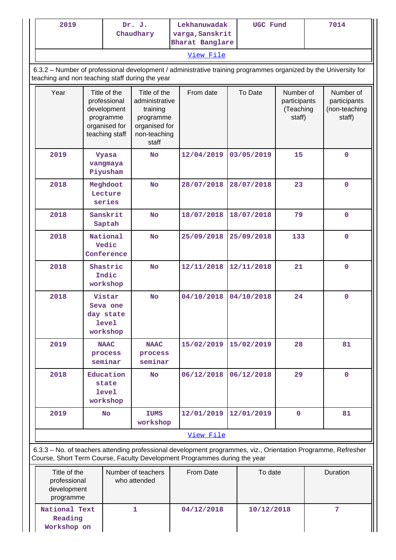| 2019                                                                                           |                                                                                             | Dr. J.<br>Chaudhary                                  | Lekhanuwadak<br>varga, Sanskrit                                                                   | UGC Fund                                                                                                                                                                                   |            | 7014                                             |                                                      |
|------------------------------------------------------------------------------------------------|---------------------------------------------------------------------------------------------|------------------------------------------------------|---------------------------------------------------------------------------------------------------|--------------------------------------------------------------------------------------------------------------------------------------------------------------------------------------------|------------|--------------------------------------------------|------------------------------------------------------|
|                                                                                                |                                                                                             |                                                      |                                                                                                   | <b>Bharat Banglare</b><br>View File                                                                                                                                                        |            |                                                  |                                                      |
| teaching and non teaching staff during the year                                                |                                                                                             |                                                      |                                                                                                   | 6.3.2 - Number of professional development / administrative training programmes organized by the University for                                                                            |            |                                                  |                                                      |
| Year                                                                                           | Title of the<br>professional<br>development<br>programme<br>organised for<br>teaching staff |                                                      | Title of the<br>administrative<br>training<br>programme<br>organised for<br>non-teaching<br>staff | From date                                                                                                                                                                                  | To Date    | Number of<br>participants<br>(Teaching<br>staff) | Number of<br>participants<br>(non-teaching<br>staff) |
| 2019                                                                                           |                                                                                             | <b>Vyasa</b><br>vangmaya<br>Piyusham                 | <b>No</b>                                                                                         | 12/04/2019                                                                                                                                                                                 | 03/05/2019 | 15                                               | $\mathbf 0$                                          |
| 2018                                                                                           |                                                                                             | Meghdoot<br>Lecture<br>series                        | <b>No</b>                                                                                         | 28/07/2018                                                                                                                                                                                 | 28/07/2018 | 23                                               | $\mathbf 0$                                          |
| 2018                                                                                           | Sanskrit<br>Saptah                                                                          |                                                      | <b>No</b>                                                                                         | 18/07/2018                                                                                                                                                                                 | 18/07/2018 | 79                                               | $\mathbf 0$                                          |
| 2018                                                                                           | National<br>Vedic<br>Conference                                                             |                                                      | <b>No</b>                                                                                         | 25/09/2018                                                                                                                                                                                 | 25/09/2018 | 133                                              | $\mathbf 0$                                          |
| 2018                                                                                           |                                                                                             | Shastric<br>Indic<br>workshop                        | <b>No</b>                                                                                         | 12/11/2018                                                                                                                                                                                 | 12/11/2018 | 21                                               | $\mathbf 0$                                          |
| 2018                                                                                           |                                                                                             | Vistar<br>Seva one<br>day state<br>level<br>workshop | <b>No</b>                                                                                         | 04/10/2018                                                                                                                                                                                 | 04/10/2018 | 24                                               | $\mathbf 0$                                          |
| 2019                                                                                           |                                                                                             | <b>NAAC</b><br>process<br>seminar                    | <b>NAAC</b><br>process<br>seminar                                                                 | 15/02/2019                                                                                                                                                                                 | 15/02/2019 | 28                                               | 81                                                   |
| 2018                                                                                           | Education<br>state<br><b>level</b><br>workshop                                              |                                                      | <b>No</b>                                                                                         | 06/12/2018                                                                                                                                                                                 | 06/12/2018 | 29                                               | $\mathbf 0$                                          |
| 2019                                                                                           | No                                                                                          |                                                      | IUMS<br>workshop                                                                                  | 12/01/2019                                                                                                                                                                                 | 12/01/2019 | $\mathbf 0$                                      | 81                                                   |
|                                                                                                |                                                                                             |                                                      |                                                                                                   | View File                                                                                                                                                                                  |            |                                                  |                                                      |
|                                                                                                |                                                                                             |                                                      |                                                                                                   | 6.3.3 - No. of teachers attending professional development programmes, viz., Orientation Programme, Refresher<br>Course, Short Term Course, Faculty Development Programmes during the year |            |                                                  |                                                      |
| Number of teachers<br>Title of the<br>professional<br>who attended<br>development<br>programme |                                                                                             |                                                      | From Date                                                                                         | To date                                                                                                                                                                                    |            | Duration                                         |                                                      |

**1 04/12/2018 10/12/2018 7**

**National Text Reading Workshop on**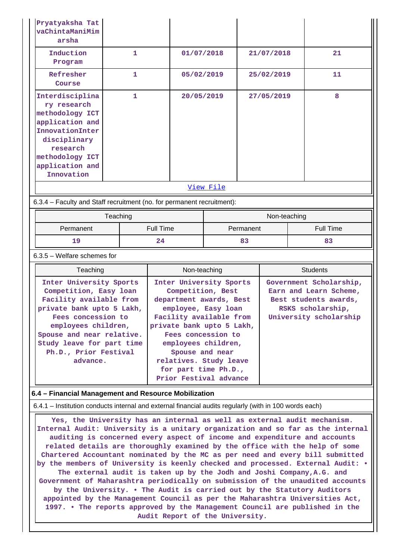| Pryatyaksha Tat<br>vaChintaManiMim<br>arsha                                                                                                                                                                                                           |                                                                        |                                                                                                                                                                                                                                                  |              |            |                                                                                                                           |  |  |
|-------------------------------------------------------------------------------------------------------------------------------------------------------------------------------------------------------------------------------------------------------|------------------------------------------------------------------------|--------------------------------------------------------------------------------------------------------------------------------------------------------------------------------------------------------------------------------------------------|--------------|------------|---------------------------------------------------------------------------------------------------------------------------|--|--|
| Induction<br>Program                                                                                                                                                                                                                                  | 1                                                                      | 01/07/2018                                                                                                                                                                                                                                       |              | 21/07/2018 | 21                                                                                                                        |  |  |
| Refresher<br>Course                                                                                                                                                                                                                                   | $\mathbf{1}$                                                           | 05/02/2019                                                                                                                                                                                                                                       |              | 25/02/2019 | 11                                                                                                                        |  |  |
| Interdisciplina<br>ry research<br>methodology ICT<br>application and<br>InnovationInter<br>disciplinary<br>research<br>methodology ICT<br>application and<br>Innovation                                                                               | 1                                                                      |                                                                                                                                                                                                                                                  | 20/05/2019   | 27/05/2019 | 8                                                                                                                         |  |  |
|                                                                                                                                                                                                                                                       |                                                                        |                                                                                                                                                                                                                                                  | View File    |            |                                                                                                                           |  |  |
|                                                                                                                                                                                                                                                       | 6.3.4 - Faculty and Staff recruitment (no. for permanent recruitment): |                                                                                                                                                                                                                                                  |              |            |                                                                                                                           |  |  |
|                                                                                                                                                                                                                                                       |                                                                        |                                                                                                                                                                                                                                                  | Non-teaching |            |                                                                                                                           |  |  |
| Teaching<br>Permanent                                                                                                                                                                                                                                 |                                                                        | <b>Full Time</b>                                                                                                                                                                                                                                 | Permanent    |            | <b>Full Time</b>                                                                                                          |  |  |
| 19                                                                                                                                                                                                                                                    |                                                                        |                                                                                                                                                                                                                                                  | 83           |            | 83                                                                                                                        |  |  |
| $6.3.5$ – Welfare schemes for                                                                                                                                                                                                                         |                                                                        |                                                                                                                                                                                                                                                  |              |            |                                                                                                                           |  |  |
| Teaching                                                                                                                                                                                                                                              |                                                                        | Non-teaching                                                                                                                                                                                                                                     |              |            | <b>Students</b>                                                                                                           |  |  |
| Inter University Sports<br>Competition, Easy loan<br>Facility available from<br>private bank upto 5 Lakh,<br>Fees concession to<br>employees children,<br>Spouse and near relative.<br>Study leave for part time<br>Ph.D., Prior Festival<br>advance. |                                                                        | Inter University Sports<br>Competition, Best<br>department awards, Best<br>employee, Easy loan<br>Facility available from<br>private bank upto 5 Lakh,<br>Fees concession to<br>employees children,<br>Spouse and near<br>relatives. Study leave |              |            | Government Scholarship,<br>Earn and Learn Scheme,<br>Best students awards,<br>RSKS scholarship,<br>University scholarship |  |  |
|                                                                                                                                                                                                                                                       |                                                                        | for part time Ph.D.,<br>Prior Festival advance                                                                                                                                                                                                   |              |            |                                                                                                                           |  |  |
| 6.4 - Financial Management and Resource Mobilization                                                                                                                                                                                                  |                                                                        |                                                                                                                                                                                                                                                  |              |            |                                                                                                                           |  |  |
| 6.4.1 - Institution conducts internal and external financial audits regularly (with in 100 words each)                                                                                                                                                |                                                                        |                                                                                                                                                                                                                                                  |              |            |                                                                                                                           |  |  |

**appointed by the Management Council as per the Maharashtra Universities Act, 1997. • The reports approved by the Management Council are published in the Audit Report of the University.**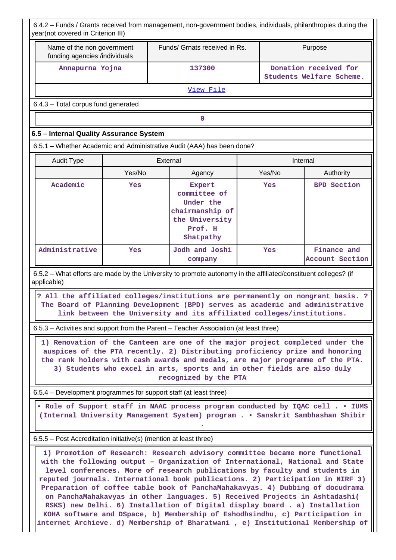| 6.4.2 – Funds / Grants received from management, non-government bodies, individuals, philanthropies during the<br>year(not covered in Criterion III)                                                                                                                                                                                                                                                                                                                                                                                                                                                                                                                                                                                            |                                                                        |        |                                                                                                                                                                                                                                                                                                                                                    |  |                                                   |                                |  |
|-------------------------------------------------------------------------------------------------------------------------------------------------------------------------------------------------------------------------------------------------------------------------------------------------------------------------------------------------------------------------------------------------------------------------------------------------------------------------------------------------------------------------------------------------------------------------------------------------------------------------------------------------------------------------------------------------------------------------------------------------|------------------------------------------------------------------------|--------|----------------------------------------------------------------------------------------------------------------------------------------------------------------------------------------------------------------------------------------------------------------------------------------------------------------------------------------------------|--|---------------------------------------------------|--------------------------------|--|
| Name of the non government<br>funding agencies /individuals                                                                                                                                                                                                                                                                                                                                                                                                                                                                                                                                                                                                                                                                                     |                                                                        |        | Funds/ Grnats received in Rs.                                                                                                                                                                                                                                                                                                                      |  |                                                   | Purpose                        |  |
| Annapurna Yojna                                                                                                                                                                                                                                                                                                                                                                                                                                                                                                                                                                                                                                                                                                                                 |                                                                        | 137300 |                                                                                                                                                                                                                                                                                                                                                    |  | Donation received for<br>Students Welfare Scheme. |                                |  |
|                                                                                                                                                                                                                                                                                                                                                                                                                                                                                                                                                                                                                                                                                                                                                 | View File                                                              |        |                                                                                                                                                                                                                                                                                                                                                    |  |                                                   |                                |  |
|                                                                                                                                                                                                                                                                                                                                                                                                                                                                                                                                                                                                                                                                                                                                                 | 6.4.3 - Total corpus fund generated                                    |        |                                                                                                                                                                                                                                                                                                                                                    |  |                                                   |                                |  |
|                                                                                                                                                                                                                                                                                                                                                                                                                                                                                                                                                                                                                                                                                                                                                 | $\mathbf 0$                                                            |        |                                                                                                                                                                                                                                                                                                                                                    |  |                                                   |                                |  |
| 6.5 - Internal Quality Assurance System                                                                                                                                                                                                                                                                                                                                                                                                                                                                                                                                                                                                                                                                                                         |                                                                        |        |                                                                                                                                                                                                                                                                                                                                                    |  |                                                   |                                |  |
|                                                                                                                                                                                                                                                                                                                                                                                                                                                                                                                                                                                                                                                                                                                                                 | 6.5.1 - Whether Academic and Administrative Audit (AAA) has been done? |        |                                                                                                                                                                                                                                                                                                                                                    |  |                                                   |                                |  |
| <b>Audit Type</b>                                                                                                                                                                                                                                                                                                                                                                                                                                                                                                                                                                                                                                                                                                                               |                                                                        |        | External                                                                                                                                                                                                                                                                                                                                           |  | Internal                                          |                                |  |
|                                                                                                                                                                                                                                                                                                                                                                                                                                                                                                                                                                                                                                                                                                                                                 | Yes/No                                                                 |        | Agency                                                                                                                                                                                                                                                                                                                                             |  | Yes/No                                            | Authority                      |  |
| Academic                                                                                                                                                                                                                                                                                                                                                                                                                                                                                                                                                                                                                                                                                                                                        | Yes                                                                    |        | <b>Expert</b><br>committee of<br>Under the<br>chairmanship of<br>the University<br>Prof. H<br>Shatpathy                                                                                                                                                                                                                                            |  | Yes                                               | <b>BPD</b> Section             |  |
| Administrative                                                                                                                                                                                                                                                                                                                                                                                                                                                                                                                                                                                                                                                                                                                                  | Yes                                                                    |        | Jodh and Joshi<br>company                                                                                                                                                                                                                                                                                                                          |  | Yes                                               | Finance and<br>Account Section |  |
| 6.5.2 – What efforts are made by the University to promote autonomy in the affiliated/constituent colleges? (if<br>applicable)                                                                                                                                                                                                                                                                                                                                                                                                                                                                                                                                                                                                                  |                                                                        |        |                                                                                                                                                                                                                                                                                                                                                    |  |                                                   |                                |  |
|                                                                                                                                                                                                                                                                                                                                                                                                                                                                                                                                                                                                                                                                                                                                                 |                                                                        |        | ? All the affiliated colleges/institutions are permanently on nongrant basis. ?<br>The Board of Planning Development (BPD) serves as academic and administrative<br>link between the University and its affiliated colleges/institutions.                                                                                                          |  |                                                   |                                |  |
| 6.5.3 – Activities and support from the Parent – Teacher Association (at least three)                                                                                                                                                                                                                                                                                                                                                                                                                                                                                                                                                                                                                                                           |                                                                        |        |                                                                                                                                                                                                                                                                                                                                                    |  |                                                   |                                |  |
|                                                                                                                                                                                                                                                                                                                                                                                                                                                                                                                                                                                                                                                                                                                                                 |                                                                        |        | 1) Renovation of the Canteen are one of the major project completed under the<br>auspices of the PTA recently. 2) Distributing proficiency prize and honoring<br>the rank holders with cash awards and medals, are major programme of the PTA.<br>3) Students who excel in arts, sports and in other fields are also duly<br>recognized by the PTA |  |                                                   |                                |  |
| 6.5.4 – Development programmes for support staff (at least three)                                                                                                                                                                                                                                                                                                                                                                                                                                                                                                                                                                                                                                                                               |                                                                        |        |                                                                                                                                                                                                                                                                                                                                                    |  |                                                   |                                |  |
|                                                                                                                                                                                                                                                                                                                                                                                                                                                                                                                                                                                                                                                                                                                                                 |                                                                        |        | . Role of Support staff in NAAC process program conducted by IQAC cell IUMS<br>(Internal University Management System) program Sanskrit Sambhashan Shibir                                                                                                                                                                                          |  |                                                   |                                |  |
| 6.5.5 – Post Accreditation initiative(s) (mention at least three)                                                                                                                                                                                                                                                                                                                                                                                                                                                                                                                                                                                                                                                                               |                                                                        |        |                                                                                                                                                                                                                                                                                                                                                    |  |                                                   |                                |  |
| 1) Promotion of Research: Research advisory committee became more functional<br>with the following output - Organization of International, National and State<br>level conferences. More of research publications by faculty and students in<br>reputed journals. International book publications. 2) Participation in NIRF 3)<br>Preparation of coffee table book of PanchaMahakavyas. 4) Dubbing of docudrama<br>on PanchaMahakavyas in other languages. 5) Received Projects in Ashtadashi(<br>RSKS) new Delhi. 6) Installation of Digital display board. a) Installation<br>KOHA software and DSpace, b) Membership of Eshodhsindhu, c) Participation in<br>internet Archieve. d) Membership of Bharatwani , e) Institutional Membership of |                                                                        |        |                                                                                                                                                                                                                                                                                                                                                    |  |                                                   |                                |  |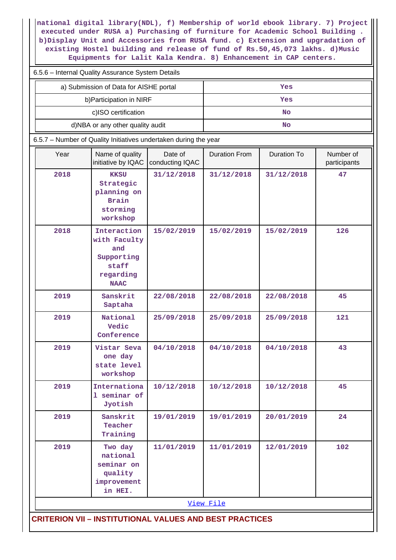**national digital library(NDL), f) Membership of world ebook library. 7) Project executed under RUSA a) Purchasing of furniture for Academic School Building . b)Display Unit and Accessories from RUSA fund. c) Extension and upgradation of existing Hostel building and release of fund of Rs.50,45,073 lakhs. d)Music Equipments for Lalit Kala Kendra. 8) Enhancement in CAP centers.**

| 6.5.6 - Internal Quality Assurance System Details                |                                                                                       |                            |                      |                    |                           |  |  |
|------------------------------------------------------------------|---------------------------------------------------------------------------------------|----------------------------|----------------------|--------------------|---------------------------|--|--|
| a) Submission of Data for AISHE portal                           |                                                                                       |                            |                      | Yes                |                           |  |  |
|                                                                  | b) Participation in NIRF                                                              |                            |                      | Yes                |                           |  |  |
|                                                                  | c)ISO certification                                                                   |                            | No                   |                    |                           |  |  |
|                                                                  | d)NBA or any other quality audit                                                      |                            |                      | <b>No</b>          |                           |  |  |
| 6.5.7 - Number of Quality Initiatives undertaken during the year |                                                                                       |                            |                      |                    |                           |  |  |
| Year                                                             | Name of quality<br>initiative by IQAC                                                 | Date of<br>conducting IQAC | <b>Duration From</b> | <b>Duration To</b> | Number of<br>participants |  |  |
| 2018                                                             | <b>KKSU</b><br>Strategic<br>planning on<br><b>Brain</b><br>storming<br>workshop       | 31/12/2018                 | 31/12/2018           | 31/12/2018         | 47                        |  |  |
| 2018                                                             | Interaction<br>with Faculty<br>and<br>Supporting<br>staff<br>regarding<br><b>NAAC</b> | 15/02/2019                 | 15/02/2019           | 15/02/2019         | 126                       |  |  |
| 2019                                                             | Sanskrit<br>Saptaha                                                                   | 22/08/2018                 | 22/08/2018           | 22/08/2018         | 45                        |  |  |
| 2019                                                             | National<br>Vedic<br>Conference                                                       | 25/09/2018                 | 25/09/2018           | 25/09/2018         | 121                       |  |  |
| 2019                                                             | Vistar Seva<br>one day<br>state level<br>workshop                                     | 04/10/2018                 | 04/10/2018           | 04/10/2018         | 43                        |  |  |
| 2019                                                             | Internationa<br>1 seminar of<br>Jyotish                                               | 10/12/2018                 | 10/12/2018           | 10/12/2018         | 45                        |  |  |
| 2019                                                             | Sanskrit<br>Teacher<br>Training                                                       | 19/01/2019                 | 19/01/2019           | 20/01/2019         | 24                        |  |  |
| 2019                                                             | Two day<br>national<br>seminar on<br>quality<br>improvement<br>in HEI.                | 11/01/2019                 | 11/01/2019           | 12/01/2019         | 102                       |  |  |
|                                                                  |                                                                                       |                            | View File            |                    |                           |  |  |
| <b>CRITERION VII - INSTITUTIONAL VALUES AND BEST PRACTICES</b>   |                                                                                       |                            |                      |                    |                           |  |  |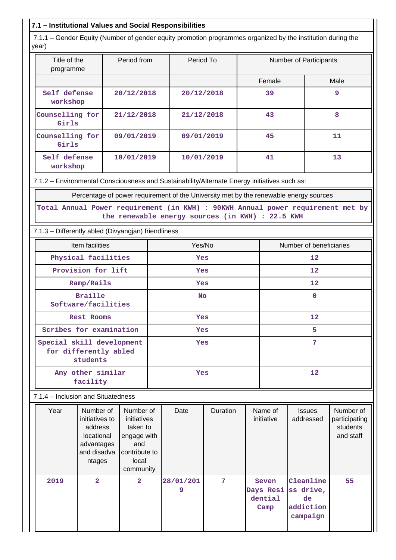# **7.1 – Institutional Values and Social Responsibilities**

 7.1.1 – Gender Equity (Number of gender equity promotion programmes organized by the institution during the year)

| Title of the<br>programme | Period from | Period To  | <b>Number of Participants</b> |      |
|---------------------------|-------------|------------|-------------------------------|------|
|                           |             |            | Female                        | Male |
| Self defense<br>workshop  | 20/12/2018  | 20/12/2018 | 39                            | 9    |
| Counselling for<br>Girls  | 21/12/2018  | 21/12/2018 | 43                            | 8    |
| Counselling for<br>Girls  | 09/01/2019  | 09/01/2019 | 45                            | 11   |
| Self defense<br>workshop  | 10/01/2019  | 10/01/2019 | 41                            | 13   |

7.1.2 – Environmental Consciousness and Sustainability/Alternate Energy initiatives such as:

Percentage of power requirement of the University met by the renewable energy sources

|  |                                                  |  |  |  | Total Annual Power requirement (in KWH) : 90KWH Annual power requirement met by |  |
|--|--------------------------------------------------|--|--|--|---------------------------------------------------------------------------------|--|
|  | the renewable energy sources (in KWH) : 22.5 KWH |  |  |  |                                                                                 |  |

7.1.3 – Differently abled (Divyangjan) friendliness

| Item facilities                                                | Yes/No     | Number of beneficiaries |
|----------------------------------------------------------------|------------|-------------------------|
| Physical facilities                                            | <b>Yes</b> | 12                      |
| Provision for lift                                             | <b>Yes</b> | 12 <sub>1</sub>         |
| Ramp/Rails                                                     | <b>Yes</b> | $12 \overline{ }$       |
| <b>Braille</b><br>Software/facilities                          | <b>No</b>  | 0                       |
| Rest Rooms                                                     | <b>Yes</b> | $12 \overline{ }$       |
| Scribes for examination                                        | <b>Yes</b> | 5                       |
| Special skill development<br>for differently abled<br>students | <b>Yes</b> | 7                       |
| Any other similar<br>facility                                  | <b>Yes</b> | 12                      |

7.1.4 – Inclusion and Situatedness

| Year | Number of<br>initiatives to<br>address<br>locational<br>advantages<br>and disadva<br>ntages | Number of<br>initiatives<br>taken to<br>engage with<br>and<br>contribute to<br>local<br>community | Date           | Duration | Name of<br>initiative                           | <b>Issues</b><br>addressed               | Number of<br>participating<br>students<br>and staff |
|------|---------------------------------------------------------------------------------------------|---------------------------------------------------------------------------------------------------|----------------|----------|-------------------------------------------------|------------------------------------------|-----------------------------------------------------|
| 2019 | $\overline{a}$                                                                              | $\overline{2}$                                                                                    | 28/01/201<br>9 | 7        | Seven<br>Days Resi ss drive,<br>dential<br>Camp | Cleanline<br>de<br>addiction<br>campaign | 55                                                  |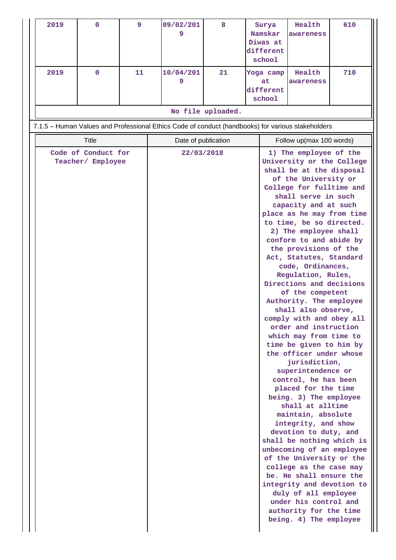| 2019         | $\mathbf 0$                              | 9  | 09/02/201<br>9                                                                                    | 8                 | Surya<br>Namskar<br>Diwas at<br>different<br>school | Health<br>awareness                                                                                                                                                                                                                                                                                                                                                                                                                                                                                                                                                                                                                                                                                                                                                                                                                                                                                                                                                                                                                                                                                                           | 610 |
|--------------|------------------------------------------|----|---------------------------------------------------------------------------------------------------|-------------------|-----------------------------------------------------|-------------------------------------------------------------------------------------------------------------------------------------------------------------------------------------------------------------------------------------------------------------------------------------------------------------------------------------------------------------------------------------------------------------------------------------------------------------------------------------------------------------------------------------------------------------------------------------------------------------------------------------------------------------------------------------------------------------------------------------------------------------------------------------------------------------------------------------------------------------------------------------------------------------------------------------------------------------------------------------------------------------------------------------------------------------------------------------------------------------------------------|-----|
| 2019         | $\mathbf 0$                              | 11 | 10/04/201<br>9                                                                                    | 21                | Yoga camp<br>at<br>different                        | Health<br>awareness                                                                                                                                                                                                                                                                                                                                                                                                                                                                                                                                                                                                                                                                                                                                                                                                                                                                                                                                                                                                                                                                                                           | 710 |
|              |                                          |    |                                                                                                   |                   | school                                              |                                                                                                                                                                                                                                                                                                                                                                                                                                                                                                                                                                                                                                                                                                                                                                                                                                                                                                                                                                                                                                                                                                                               |     |
|              |                                          |    |                                                                                                   | No file uploaded. |                                                     |                                                                                                                                                                                                                                                                                                                                                                                                                                                                                                                                                                                                                                                                                                                                                                                                                                                                                                                                                                                                                                                                                                                               |     |
|              |                                          |    | 7.1.5 - Human Values and Professional Ethics Code of conduct (handbooks) for various stakeholders |                   |                                                     |                                                                                                                                                                                                                                                                                                                                                                                                                                                                                                                                                                                                                                                                                                                                                                                                                                                                                                                                                                                                                                                                                                                               |     |
| <b>Title</b> |                                          |    | Date of publication                                                                               |                   |                                                     | Follow up(max 100 words)                                                                                                                                                                                                                                                                                                                                                                                                                                                                                                                                                                                                                                                                                                                                                                                                                                                                                                                                                                                                                                                                                                      |     |
|              | Code of Conduct for<br>Teacher/ Employee |    | 22/03/2018                                                                                        |                   |                                                     | 1) The employee of the<br>University or the College<br>shall be at the disposal<br>of the University or<br>College for fulltime and<br>shall serve in such<br>capacity and at such<br>place as he may from time<br>to time, be so directed.<br>2) The employee shall<br>conform to and abide by<br>the provisions of the<br>Act, Statutes, Standard<br>code, Ordinances,<br>Regulation, Rules,<br>Directions and decisions<br>of the competent<br>Authority. The employee<br>shall also observe,<br>comply with and obey all<br>order and instruction<br>which may from time to<br>time be given to him by<br>the officer under whose<br>jurisdiction,<br>superintendence or<br>control, he has been<br>placed for the time<br>being. 3) The employee<br>shall at alltime<br>maintain, absolute<br>integrity, and show<br>devotion to duty, and<br>shall be nothing which is<br>unbecoming of an employee<br>of the University or the<br>college as the case may<br>be. He shall ensure the<br>integrity and devotion to<br>duly of all employee<br>under his control and<br>authority for the time<br>being. 4) The employee |     |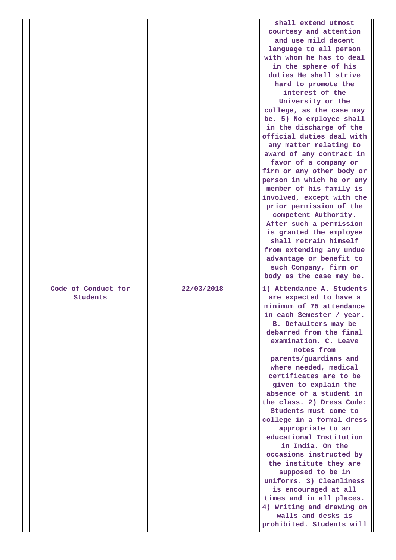|                                 |            | shall extend utmost<br>courtesy and attention<br>and use mild decent<br>language to all person<br>with whom he has to deal<br>in the sphere of his<br>duties He shall strive<br>hard to promote the<br>interest of the<br>University or the<br>college, as the case may<br>be. 5) No employee shall<br>in the discharge of the<br>official duties deal with<br>any matter relating to<br>award of any contract in<br>favor of a company or<br>firm or any other body or<br>person in which he or any<br>member of his family is<br>involved, except with the<br>prior permission of the<br>competent Authority.<br>After such a permission<br>is granted the employee<br>shall retrain himself<br>from extending any undue<br>advantage or benefit to<br>such Company, firm or<br>body as the case may be. |
|---------------------------------|------------|------------------------------------------------------------------------------------------------------------------------------------------------------------------------------------------------------------------------------------------------------------------------------------------------------------------------------------------------------------------------------------------------------------------------------------------------------------------------------------------------------------------------------------------------------------------------------------------------------------------------------------------------------------------------------------------------------------------------------------------------------------------------------------------------------------|
| Code of Conduct for<br>Students | 22/03/2018 | 1) Attendance A. Students<br>are expected to have a<br>minimum of 75 attendance<br>in each Semester / year.<br>B. Defaulters may be<br>debarred from the final<br>examination. C. Leave<br>notes from<br>parents/guardians and<br>where needed, medical<br>certificates are to be<br>given to explain the<br>absence of a student in<br>the class. 2) Dress Code:<br>Students must come to<br>college in a formal dress<br>appropriate to an<br>educational Institution<br>in India. On the<br>occasions instructed by<br>the institute they are<br>supposed to be in<br>uniforms. 3) Cleanliness<br>is encouraged at all<br>times and in all places.<br>4) Writing and drawing on<br>walls and desks is<br>prohibited. Students will                                                                      |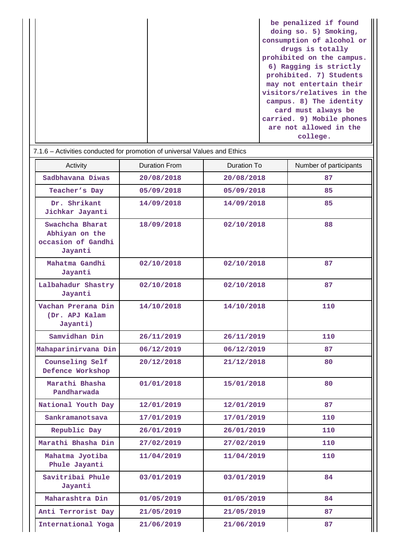| be penalized if found     |
|---------------------------|
| doing so. 5) Smoking,     |
| consumption of alcohol or |
| drugs is totally          |
| prohibited on the campus. |
| 6) Ragging is strictly    |
| prohibited. 7) Students   |
| may not entertain their   |
| visitors/relatives in the |
| campus. 8) The identity   |
| card must always be       |
| carried. 9) Mobile phones |
| are not allowed in the    |
| college.                  |

| Activity                                                           | <b>Duration From</b> | <b>Duration To</b> | Number of participants |
|--------------------------------------------------------------------|----------------------|--------------------|------------------------|
| Sadbhavana Diwas                                                   | 20/08/2018           | 20/08/2018         | 87                     |
| Teacher's Day                                                      | 05/09/2018           | 05/09/2018         | 85                     |
| Dr. Shrikant<br>Jichkar Jayanti                                    | 14/09/2018           | 14/09/2018         | 85                     |
| Swachcha Bharat<br>Abhiyan on the<br>occasion of Gandhi<br>Jayanti | 18/09/2018           | 02/10/2018         | 88                     |
| Mahatma Gandhi<br>Jayanti                                          | 02/10/2018           | 02/10/2018         | 87                     |
| Lalbahadur Shastry<br>Jayanti                                      | 02/10/2018           | 02/10/2018         | 87                     |
| Vachan Prerana Din<br>(Dr. APJ Kalam<br>Jayanti)                   | 14/10/2018           | 14/10/2018         | 110                    |
| Samvidhan Din                                                      | 26/11/2019           | 26/11/2019         | 110                    |
| Mahaparinirvana Din                                                | 06/12/2019           | 06/12/2019         | 87                     |
| Counseling Self<br>Defence Workshop                                | 20/12/2018           | 21/12/2018         | 80                     |
| Marathi Bhasha<br>Pandharwada                                      | 01/01/2018           | 15/01/2018         | 80                     |
| National Youth Day                                                 | 12/01/2019           | 12/01/2019         | 87                     |
| Sankramanotsava                                                    | 17/01/2019           | 17/01/2019         | 110                    |
| Republic Day                                                       | 26/01/2019           | 26/01/2019         | 110                    |
| Marathi Bhasha Din                                                 | 27/02/2019           | 27/02/2019         | 110                    |
| Mahatma Jyotiba<br>Phule Jayanti                                   | 11/04/2019           | 11/04/2019         | 110                    |
| Savitribai Phule<br>Jayanti                                        | 03/01/2019           | 03/01/2019         | 84                     |
| Maharashtra Din                                                    | 01/05/2019           | 01/05/2019         | 84                     |
| Anti Terrorist Day                                                 | 21/05/2019           | 21/05/2019         | 87                     |
| International Yoga                                                 | 21/06/2019           | 21/06/2019         | 87                     |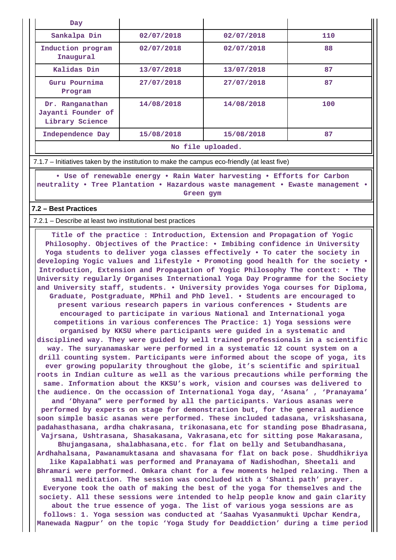| Day                                                      |            |            |     |  |
|----------------------------------------------------------|------------|------------|-----|--|
| Sankalpa Din                                             | 02/07/2018 | 02/07/2018 | 110 |  |
| Induction program<br>Inaugural                           | 02/07/2018 | 02/07/2018 | 88  |  |
| Kalidas Din                                              | 13/07/2018 | 13/07/2018 | 87  |  |
| Guru Pournima<br>Program                                 | 27/07/2018 | 27/07/2018 | 87  |  |
| Dr. Ranganathan<br>Jayanti Founder of<br>Library Science | 14/08/2018 | 14/08/2018 | 100 |  |
| Independence Day                                         | 15/08/2018 | 15/08/2018 | 87  |  |
| $M_2$ file unlooded                                      |            |            |     |  |

**No file uploaded.**

7.1.7 – Initiatives taken by the institution to make the campus eco-friendly (at least five)

 **• Use of renewable energy • Rain Water harvesting • Efforts for Carbon neutrality • Tree Plantation • Hazardous waste management • Ewaste management • Green gym**

### **7.2 – Best Practices**

7.2.1 – Describe at least two institutional best practices

 **Title of the practice : Introduction, Extension and Propagation of Yogic Philosophy. Objectives of the Practice: • Imbibing confidence in University Yoga students to deliver yoga classes effectively • To cater the society in developing Yogic values and lifestyle • Promoting good health for the society • Introduction, Extension and Propagation of Yogic Philosophy The context: • The University regularly Organises International Yoga Day Programme for the Society and University staff, students. • University provides Yoga courses for Diploma, Graduate, Postgraduate, MPhil and PhD level. • Students are encouraged to present various research papers in various conferences • Students are encouraged to participate in various National and International yoga competitions in various conferences The Practice: 1) Yoga sessions were organised by KKSU where participants were guided in a systematic and disciplined way. They were guided by well trained professionals in a scientific way. The suryanamaskar were performed in a systematic 12 count system on a drill counting system. Participants were informed about the scope of yoga, its ever growing popularity throughout the globe, it's scientific and spiritual roots in Indian culture as well as the various precautions while performing the same. Information about the KKSU's work, vision and courses was delivered to the audience. On the occassion of International Yoga day, 'Asana' , 'Pranayama' and 'Dhyana" were performed by all the participants. Various asanas were performed by experts on stage for demonstration but, for the general audience soon simple basic asanas were performed. These included tadasana, vriskshasana, padahasthasana, ardha chakrasana, trikonasana,etc for standing pose Bhadrasana, Vajrsana, Ushtrasana, Shasakasana, Vakrasana,etc for sitting pose Makarasana, Bhujangasana, shalabhasana,etc. for flat on belly and Setubandhasana, Ardhahalsana, Pawanamuktasana and shavasana for flat on back pose. Shuddhikriya like Kapalabhati was performed and Pranayama of Nadishodhan, Sheetali and Bhramari were performed. Omkara chant for a few moments helped relaxing. Then a small meditation. The session was concluded with a 'Shanti path' prayer. Everyone took the oath of making the best of the yoga for themselves and the society. All these sessions were intended to help people know and gain clarity about the true essence of yoga. The list of various yoga sessions are as follows: 1. Yoga session was conducted at 'Saahas Vyasanmukti Upchar Kendra, Manewada Nagpur' on the topic 'Yoga Study for Deaddiction' during a time period**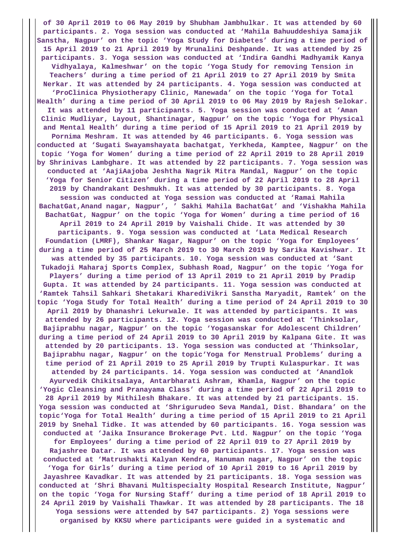**of 30 April 2019 to 06 May 2019 by Shubham Jambhulkar. It was attended by 60 participants. 2. Yoga session was conducted at 'Mahila Bahuuddeshiya Samajik Sanstha, Nagpur' on the topic 'Yoga Study for Diabetes' during a time period of 15 April 2019 to 21 April 2019 by Mrunalini Deshpande. It was attended by 25 participants. 3. Yoga session was conducted at 'Indira Gandhi Madhyamik Kanya Vidhyalaya, Kalmeshwar' on the topic 'Yoga Study for removing Tension in Teachers' during a time period of 21 April 2019 to 27 April 2019 by Smita Nerkar. It was attended by 24 participants. 4. Yoga session was conducted at 'ProClinica Physiotherapy Clinic, Manewada' on the topic 'Yoga for Total Health' during a time period of 30 April 2019 to 06 May 2019 by Rajesh Selokar. It was attended by 11 participants. 5. Yoga session was conducted at 'Aman Clinic Mudliyar, Layout, Shantinagar, Nagpur' on the topic 'Yoga for Physical and Mental Health' during a time period of 15 April 2019 to 21 April 2019 by Pornima Meshram. It was attended by 46 participants. 6. Yoga session was conducted at 'Sugati Swayamshayata bachatgat, Yerkheda, Kamptee, Nagpur' on the topic 'Yoga for Women' during a time period of 22 April 2019 to 28 April 2019 by Shrinivas Lambghare. It was attended by 22 participants. 7. Yoga session was conducted at 'AajiAajoba Jeshtha Nagrik Mitra Mandal, Nagpur' on the topic 'Yoga for Senior Citizen' during a time period of 22 April 2019 to 28 April 2019 by Chandrakant Deshmukh. It was attended by 30 participants. 8. Yoga session was conducted at Yoga session was conducted at 'Ramai Mahila BachatGat,Anand nagar, Nagpur', ' Sakhi Mahila BachatGat' and 'Vishakha Mahila BachatGat, Nagpur' on the topic 'Yoga for Women' during a time period of 16 April 2019 to 24 April 2019 by Vaishali Chide. It was attended by 30 participants. 9. Yoga session was conducted at 'Lata Medical Research Foundation (LMRF), Shankar Nagar, Nagpur' on the topic 'Yoga for Employees' during a time period of 25 March 2019 to 30 March 2019 by Sarika Kavishwar. It was attended by 35 participants. 10. Yoga session was conducted at 'Sant Tukadoji Maharaj Sports Complex, Subhash Road, Nagpur' on the topic 'Yoga for Players' during a time period of 13 April 2019 to 21 April 2019 by Pradip Gupta. It was attended by 24 participants. 11. Yoga session was conducted at 'Ramtek Tahsil Sahkari Shetakari KharediVikri Sanstha Maryadit, Ramtek' on the topic 'Yoga Study for Total Health' during a time period of 24 April 2019 to 30 April 2019 by Dhanashri Lekurwale. It was attended by participants. It was attended by 26 participants. 12. Yoga session was conducted at 'Thinksolar, Bajiprabhu nagar, Nagpur' on the topic 'Yogasanskar for Adolescent Children' during a time period of 24 April 2019 to 30 April 2019 by Kalpana Gite. It was attended by 20 participants. 13. Yoga session was conducted at 'Thinksolar, Bajiprabhu nagar, Nagpur' on the topic'Yoga for Menstrual Problems' during a time period of 21 April 2019 to 25 April 2019 by Trupti Kulaspurkar. It was attended by 24 participants. 14. Yoga session was conducted at 'Anandlok Ayurvedik Chikitsalaya, Antarbharati Ashram, Khamla, Nagpur' on the topic 'Yogic Cleansing and Pranayama Class' during a time period of 22 April 2019 to 28 April 2019 by Mithilesh Bhakare. It was attended by 21 participants. 15. Yoga session was conducted at 'Shrigurudeo Seva Mandal, Dist. Bhandara' on the topic'Yoga for Total Health' during a time period of 15 April 2019 to 21 April 2019 by Snehal Tidke. It was attended by 60 participants. 16. Yoga session was conducted at 'Jaika Insurance Brokerage Pvt. Ltd. Nagpur' on the topic 'Yoga for Employees' during a time period of 22 April 019 to 27 April 2019 by Rajashree Datar. It was attended by 60 participants. 17. Yoga session was conducted at 'Matrushakti Kalyan Kendra, Hanuman nagar, Nagpur' on the topic 'Yoga for Girls' during a time period of 10 April 2019 to 16 April 2019 by Jayashree Kavadkar. It was attended by 21 participants. 18. Yoga session was conducted at 'Shri Bhavani Multispecialty Hospital Research Institute, Nagpur' on the topic 'Yoga for Nursing Staff' during a time period of 18 April 2019 to 24 April 2019 by Vaishali Thawkar. It was attended by 28 participants. The 18 Yoga sessions were attended by 547 participants. 2) Yoga sessions were organised by KKSU where participants were guided in a systematic and**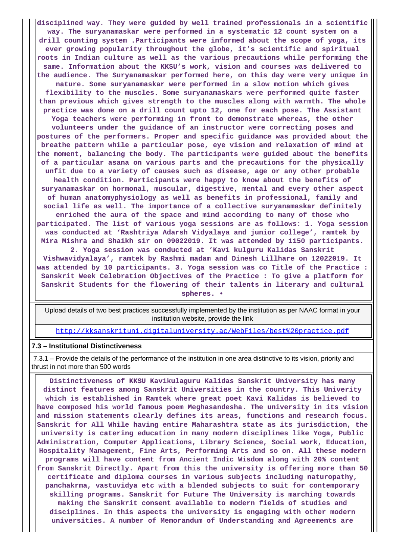**disciplined way. They were guided by well trained professionals in a scientific way. The suryanamaskar were performed in a systematic 12 count system on a drill counting system .Participants were informed about the scope of yoga, its ever growing popularity throughout the globe, it's scientific and spiritual roots in Indian culture as well as the various precautions while performing the same. Information about the KKSU's work, vision and courses was delivered to the audience. The Suryanamaskar performed here, on this day were very unique in nature. Some suryanamaskar were performed in a slow motion which gives flexibility to the muscles. Some suryanamaskars were performed quite faster than previous which gives strength to the muscles along with warmth. The whole practice was done on a drill count upto 12, one for each pose. The Assistant Yoga teachers were performing in front to demonstrate whereas, the other volunteers under the guidance of an instructor were correcting poses and postures of the performers. Proper and specific guidance was provided about the breathe pattern while a particular pose, eye vision and relaxation of mind at the moment, balancing the body. The participants were guided about the benefits of a particular asana on various parts and the precautions for the physically unfit due to a variety of causes such as disease, age or any other probable health condition. Participants were happy to know about the benefits of suryanamaskar on hormonal, muscular, digestive, mental and every other aspect of human anatomyphysiology as well as benefits in professional, family and social life as well. The importance of a collective suryanamaskar definitely enriched the aura of the space and mind according to many of those who participated. The list of various yoga sessions are as follows: 1. Yoga session was conducted at 'Rashtriya Adarsh Vidyalaya and junior college', ramtek by Mira Mishra and Shaikh sir on 09022019. It was attended by 1150 participants. 2. Yoga session was conducted at 'Kavi kulguru Kalidas Sanskrit Vishwavidyalaya', ramtek by Rashmi madam and Dinesh Lillhare on 12022019. It was attended by 10 participants. 3. Yoga session was co Title of the Practice :**

**Sanskrit Week Celebration Objectives of the Practice : To give a platform for Sanskrit Students for the flowering of their talents in literary and cultural spheres. •**

 Upload details of two best practices successfully implemented by the institution as per NAAC format in your institution website, provide the link

<http://kksanskrituni.digitaluniversity.ac/WebFiles/best%20practice.pdf>

#### **7.3 – Institutional Distinctiveness**

 7.3.1 – Provide the details of the performance of the institution in one area distinctive to its vision, priority and thrust in not more than 500 words

 **Distinctiveness of KKSU Kavikulaguru Kalidas Sanskrit University has many distinct features among Sanskrit Universities in the country. This Univerity which is established in Ramtek where great poet Kavi Kalidas is believed to have composed his world famous poem Meghasandesha. The university in its vision and mission statements clearly defines its areas, functions and research focus. Sanskrit for All While having entire Maharashtra state as its jurisdiction, the university is catering education in many modern disciplines like Yoga, Public Administration, Computer Applications, Library Science, Social work, Education, Hospitality Management, Fine Arts, Performing Arts and so on. All these modern programs will have content from Ancient Indic Wisdom along with 20% content from Sanskrit Directly. Apart from this the university is offering more than 50 certificate and diploma courses in various subjects including naturopathy, panchakrma, vastuvidya etc with a blended subjects to suit for contemporary skilling programs. Sanskrit for Future The University is marching towards making the Sanskrit consent available to modern fields of studies and disciplines. In this aspects the university is engaging with other modern universities. A number of Memorandum of Understanding and Agreements are**